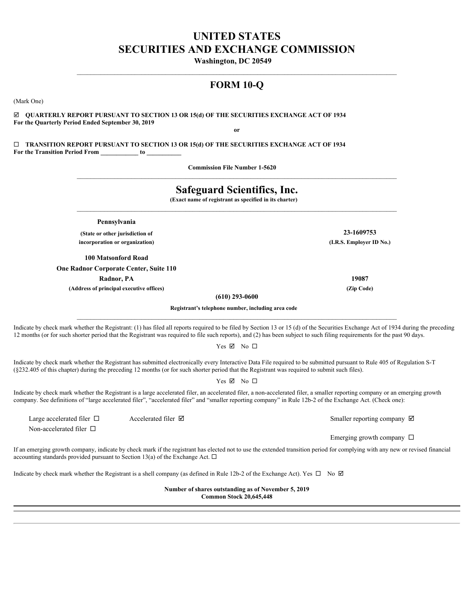# **UNITED STATES SECURITIES AND EXCHANGE COMMISSION**

**Washington, DC 20549**

## **FORM 10-Q**

 $\mathcal{L}_\mathcal{L} = \mathcal{L}_\mathcal{L}$ 

(Mark One)

 $\boxtimes$  QUARTERLY REPORT PURSUANT TO SECTION 13 OR 15(d) OF THE SECURITIES EXCHANGE ACT OF 1934 **For the Quarterly Period Ended September 30, 2019 or**

¨ **TRANSITION REPORT PURSUANT TO SECTION 13 OR 15(d) OF THE SECURITIES EXCHANGE ACT OF 1934 For the Transition Period From \_\_\_\_\_\_\_\_\_\_\_\_ to \_\_\_\_\_\_\_\_\_\_\_**

**Commission File Number 1-5620**

# $\mathcal{L}_\mathcal{L} = \mathcal{L}_\mathcal{L}$ **Safeguard Scientifics, Inc. (Exact name of registrant as specified in its charter) Pennsylvania (State or other jurisdiction of 23-1609753 incorporation or organization) (I.R.S. Employer ID No.) 100 Matsonford Road One Radnor Corporate Center, Suite 110 Radnor, PA 19087 (Address of principal executive offices) (Zip Code) (610) 293-0600 Registrant's telephone number, including area code**  $\mathcal{L}_\mathcal{L} = \mathcal{L}_\mathcal{L}$ Indicate by check mark whether the Registrant: (1) has filed all reports required to be filed by Section 13 or 15 (d) of the Securities Exchange Act of 1934 during the preceding 12 months (or for such shorter period that the Registrant was required to file such reports), and (2) has been subject to such filing requirements for the past 90 days. Yes Ø No □ Indicate by check mark whether the Registrant has submitted electronically every Interactive Data File required to be submitted pursuant to Rule 405 of Regulation S-T (§232.405 of this chapter) during the preceding 12 months (or for such shorter period that the Registrant was required to submit such files). Yes  $\boxtimes$  No  $\square$ Indicate by check mark whether the Registrant is a large accelerated filer, an accelerated filer, a non-accelerated filer, a smaller reporting company or an emerging growth company. See definitions of "large accelerated filer", "accelerated filer" and "smaller reporting company" in Rule 12b-2 of the Exchange Act. (Check one): Large accelerated filer  $\Box$  Accelerated filer  $\boxtimes$  Smaller reporting company  $\boxtimes$ Non-accelerated filer  $\square$ Emerging growth company  $\Box$ If an emerging growth company, indicate by check mark if the registrant has elected not to use the extended transition period for complying with any new or revised financial accounting standards provided pursuant to Section 13(a) of the Exchange Act.  $\Box$ Indicate by check mark whether the Registrant is a shell company (as defined in Rule 12b-2 of the Exchange Act). Yes  $\Box$  No  $\Box$ **Number of shares outstanding as of November 5, 2019 Common Stock 20,645,448**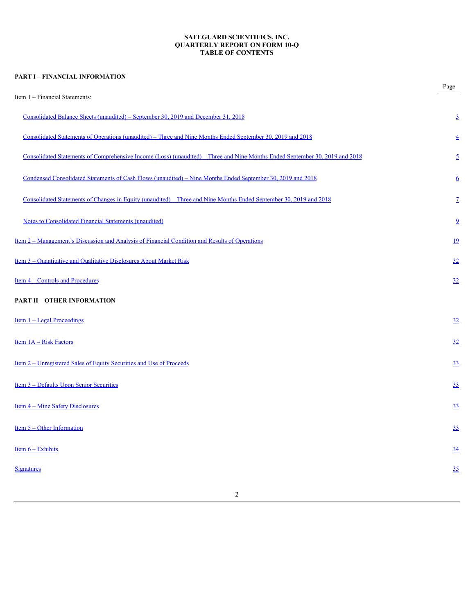## **SAFEGUARD SCIENTIFICS, INC. QUARTERLY REPORT ON FORM 10-Q TABLE OF CONTENTS**

| PART I - FINANCIAL INFORMATION                                                                                               |                  |
|------------------------------------------------------------------------------------------------------------------------------|------------------|
| Item 1 - Financial Statements:                                                                                               | Page             |
| Consolidated Balance Sheets (unaudited) – September 30, 2019 and December 31, 2018                                           | $\overline{3}$   |
| Consolidated Statements of Operations (unaudited) – Three and Nine Months Ended September 30, 2019 and 2018                  | $\overline{4}$   |
| Consolidated Statements of Comprehensive Income (Loss) (unaudited) – Three and Nine Months Ended September 30, 2019 and 2018 | $\overline{2}$   |
| Condensed Consolidated Statements of Cash Flows (unaudited) – Nine Months Ended September 30, 2019 and 2018                  | $6\overline{6}$  |
| Consolidated Statements of Changes in Equity (unaudited) – Three and Nine Months Ended September 30, 2019 and 2018           | $\mathbf{Z}$     |
| <b>Notes to Consolidated Financial Statements (unaudited)</b>                                                                | $\overline{9}$   |
| <u>Item 2 – Management's Discussion and Analysis of Financial Condition and Results of Operations</u>                        | 19               |
| <u>Item 3 – Quantitative and Qualitative Disclosures About Market Risk</u>                                                   | 32               |
| Item 4 – Controls and Procedures                                                                                             | 32               |
| <b>PART II - OTHER INFORMATION</b>                                                                                           |                  |
| $Item 1 - Legal Proceedings$                                                                                                 | 32               |
| Item $1A - Risk Factors$                                                                                                     | 32               |
| <u>Item 2 – Unregistered Sales of Equity Securities and Use of Proceeds</u>                                                  | 33               |
| Item 3 - Defaults Upon Senior Securities                                                                                     | 33               |
| Item 4 – Mine Safety Disclosures                                                                                             | 33               |
| Item $5 -$ Other Information                                                                                                 | 33               |
| Item $6 -$ Exhibits                                                                                                          | $\underline{34}$ |
| <b>Signatures</b>                                                                                                            | 35               |
|                                                                                                                              |                  |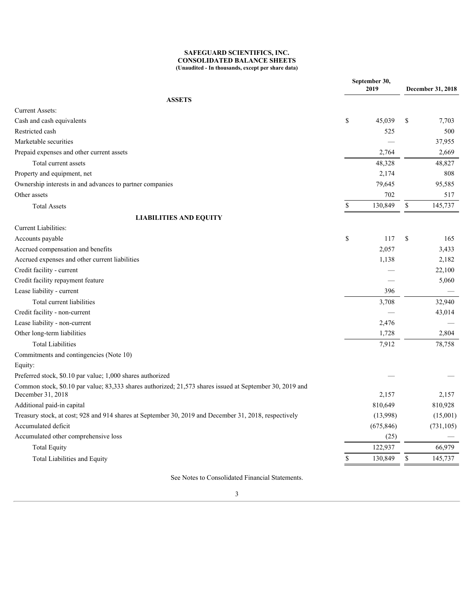#### **SAFEGUARD SCIENTIFICS, INC. CONSOLIDATED BALANCE SHEETS (Unaudited - In thousands, except per share data)**

<span id="page-2-0"></span>

|                                                                                                          |               | September 30,<br>2019           |              | <b>December 31, 2018</b> |
|----------------------------------------------------------------------------------------------------------|---------------|---------------------------------|--------------|--------------------------|
| <b>ASSETS</b>                                                                                            |               |                                 |              |                          |
| <b>Current Assets:</b>                                                                                   |               |                                 |              |                          |
| Cash and cash equivalents                                                                                | <sup>\$</sup> | 45,039                          | <b>S</b>     | 7,703                    |
| Restricted cash                                                                                          |               | 525                             |              | 500                      |
| Marketable securities                                                                                    |               |                                 |              | 37,955                   |
| Prepaid expenses and other current assets                                                                |               | 2,764                           |              | 2,669                    |
| Total current assets                                                                                     |               | 48,328                          |              | 48,827                   |
| Property and equipment, net                                                                              |               | 2,174                           |              | 808                      |
| Ownership interests in and advances to partner companies                                                 |               | 79,645                          |              | 95,585                   |
| Other assets                                                                                             |               | 702                             |              | 517                      |
| <b>Total Assets</b>                                                                                      | S.            | 130,849                         | $\mathbb{S}$ | 145,737                  |
| <b>LIABILITIES AND EQUITY</b>                                                                            |               |                                 |              |                          |
| Current Liabilities:                                                                                     |               |                                 |              |                          |
| Accounts payable                                                                                         | $\mathbb{S}$  | 117S                            |              | 165                      |
| Accrued compensation and benefits                                                                        |               | 2,057                           |              | 3,433                    |
| Accrued expenses and other current liabilities                                                           |               | 1,138                           |              | 2,182                    |
| Credit facility - current                                                                                |               |                                 |              | 22,100                   |
| Credit facility repayment feature                                                                        |               | $\hspace{0.05cm}$               |              | 5,060                    |
| Lease liability - current                                                                                |               | 396                             |              | $\overline{\phantom{m}}$ |
| Total current liabilities                                                                                |               | 3,708                           |              | 32,940                   |
| Credit facility - non-current                                                                            |               | $\hspace{0.1mm}-\hspace{0.1mm}$ |              | 43,014                   |
| Lease liability - non-current                                                                            |               | 2,476                           |              | $\hspace{0.05cm}$        |
| Other long-term liabilities                                                                              |               | 1,728                           |              | 2,804                    |
| <b>Total Liabilities</b>                                                                                 |               | 7,912                           |              | 78,758                   |
| Commitments and contingencies (Note 10)                                                                  |               |                                 |              |                          |
| Equity:                                                                                                  |               |                                 |              |                          |
| Preferred stock, \$0.10 par value; 1,000 shares authorized                                               |               |                                 |              |                          |
| Common stock, \$0.10 par value; 83,333 shares authorized; 21,573 shares issued at September 30, 2019 and |               |                                 |              |                          |
| December 31, 2018                                                                                        |               | 2,157                           |              | 2,157                    |
| Additional paid-in capital                                                                               |               | 810,649                         |              | 810,928                  |
| Treasury stock, at cost; 928 and 914 shares at September 30, 2019 and December 31, 2018, respectively    |               | (13,998)                        |              | (15,001)                 |
| Accumulated deficit                                                                                      |               | (675, 846)                      |              | (731, 105)               |
| Accumulated other comprehensive loss                                                                     |               | (25)                            |              | $\overline{\phantom{m}}$ |
| <b>Total Equity</b>                                                                                      |               | 122,937                         |              | 66,979                   |
| Total Liabilities and Equity                                                                             |               | 130,849                         | -S           | 145,737                  |
|                                                                                                          |               |                                 |              |                          |

See Notes to Consolidated Financial Statements.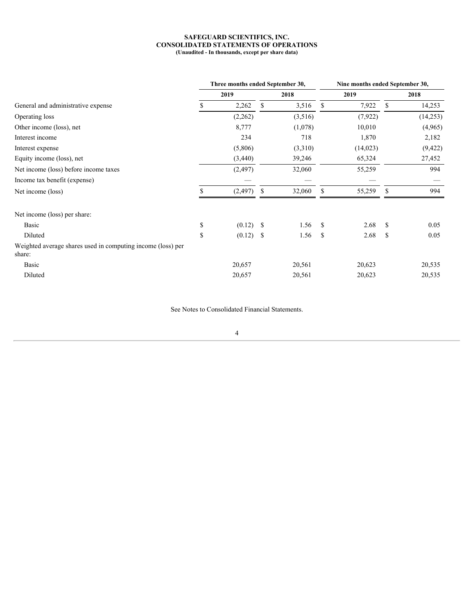#### **SAFEGUARD SCIENTIFICS, INC. CONSOLIDATED STATEMENTS OF OPERATIONS (Unaudited - In thousands, except per share data)**

<span id="page-3-0"></span>

| 2019     |    | 2018                                       |                                  | 2019                    |                       | 2018                                        |
|----------|----|--------------------------------------------|----------------------------------|-------------------------|-----------------------|---------------------------------------------|
| 2,262    | -S |                                            |                                  |                         |                       | 14,253                                      |
| (2,262)  |    | (3,516)                                    |                                  |                         |                       | (14,253)                                    |
| 8,777    |    | (1,078)                                    |                                  | 10,010                  |                       | (4,965)                                     |
| 234      |    | 718                                        |                                  | 1,870                   |                       | 2,182                                       |
| (5,806)  |    | (3,310)                                    |                                  |                         |                       | (9, 422)                                    |
| (3,440)  |    | 39,246                                     |                                  | 65,324                  |                       | 27,452                                      |
| (2, 497) |    | 32,060                                     |                                  | 55,259                  |                       | 994                                         |
|          |    | $\overline{\phantom{m}}$                   |                                  |                         |                       | $\overbrace{\phantom{aaaaa}}$               |
|          |    | 32,060                                     | -S                               | 55,259                  |                       | 994                                         |
|          |    |                                            |                                  |                         |                       |                                             |
| \$       |    |                                            |                                  |                         |                       | 0.05                                        |
| \$       |    |                                            |                                  |                         |                       | 0.05                                        |
|          |    |                                            |                                  |                         |                       |                                             |
| 20,657   |    | 20,561                                     |                                  | 20,623                  |                       | 20,535                                      |
| 20,657   |    | 20,561                                     |                                  | 20,623                  |                       | 20,535                                      |
|          |    | $(2,497)$ \$<br>$(0.12)$ \$<br>$(0.12)$ \$ | Three months ended September 30, | $3,516$ \$<br>$1.56$ \$ | (7, 922)<br>(14, 023) | Nine months ended September 30,<br>7,922 \$ |

See Notes to Consolidated Financial Statements.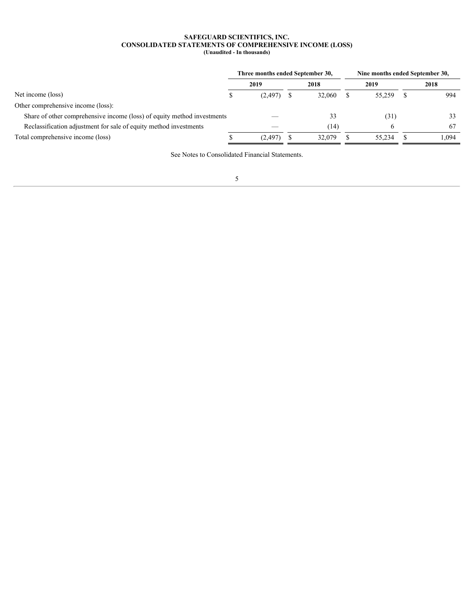#### **SAFEGUARD SCIENTIFICS, INC. CONSOLIDATED STATEMENTS OF COMPREHENSIVE INCOME (LOSS) (Unaudited - In thousands)**

<span id="page-4-0"></span>

|                                                                         | Three months ended September 30, |             | Nine months ended September 30, |       |
|-------------------------------------------------------------------------|----------------------------------|-------------|---------------------------------|-------|
|                                                                         | 2019                             | 2018        | 2019                            | 2018  |
| Net income (loss)                                                       | (2, 497)                         | $32,060$ \$ | 55,259                          | 994   |
| Other comprehensive income (loss):                                      |                                  |             |                                 |       |
| Share of other comprehensive income (loss) of equity method investments |                                  | 33          | (31)                            | 33    |
| Reclassification adjustment for sale of equity method investments       |                                  | (14)        |                                 | 67    |
| Total comprehensive income (loss)                                       | (2, 497)                         | 32,079 \$   | 55,234                          | 1,094 |
|                                                                         |                                  |             |                                 |       |

See Notes to Consolidated Financial Statements.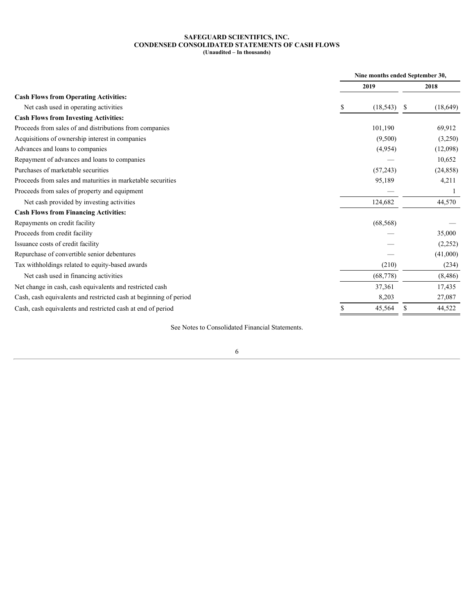#### **SAFEGUARD SCIENTIFICS, INC. CONDENSED CONSOLIDATED STATEMENTS OF CASH FLOWS (Unaudited – In thousands)**

<span id="page-5-0"></span>

|                                                                   | Nine months ended September 30, |              |
|-------------------------------------------------------------------|---------------------------------|--------------|
|                                                                   | 2019                            | 2018         |
| <b>Cash Flows from Operating Activities:</b>                      |                                 |              |
| Net cash used in operating activities                             | $(18,543)$ \$                   | (18, 649)    |
| <b>Cash Flows from Investing Activities:</b>                      |                                 |              |
| Proceeds from sales of and distributions from companies           | 101,190                         | 69,912       |
| Acquisitions of ownership interest in companies                   | (9,500)                         | (3,250)      |
| Advances and loans to companies                                   | (4,954)                         | (12,098)     |
| Repayment of advances and loans to companies                      | $\hspace{0.05cm}$               | 10,652       |
| Purchases of marketable securities                                | (57,243)                        | (24, 858)    |
| Proceeds from sales and maturities in marketable securities       | 95,189                          | 4,211        |
| Proceeds from sales of property and equipment                     | $\hspace{0.05cm}$               |              |
| Net cash provided by investing activities                         | 124,682                         | 44,570       |
| <b>Cash Flows from Financing Activities:</b>                      |                                 |              |
| Repayments on credit facility                                     | (68, 568)                       |              |
| Proceeds from credit facility                                     |                                 | 35,000       |
| Issuance costs of credit facility                                 | $\overbrace{\hspace{25mm}}^{}$  | (2,252)      |
| Repurchase of convertible senior debentures                       | $\overbrace{\hspace{25mm}}^{}$  | (41,000)     |
| Tax withholdings related to equity-based awards                   | (210)                           | (234)        |
| Net cash used in financing activities                             | (68, 778)                       | (8, 486)     |
| Net change in cash, cash equivalents and restricted cash          | 37,361                          | 17,435       |
| Cash, cash equivalents and restricted cash at beginning of period | 8,203                           | 27,087       |
| Cash, cash equivalents and restricted cash at end of period       | 45,564                          | 44,522<br>-S |
|                                                                   |                                 |              |

See Notes to Consolidated Financial Statements.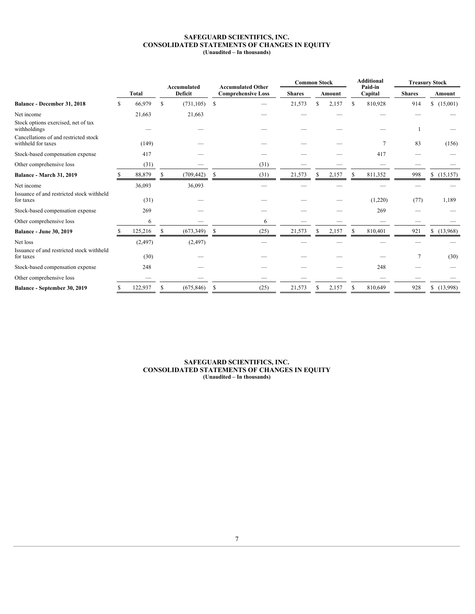#### **SAFEGUARD SCIENTIFICS, INC. CONSOLIDATED STATEMENTS OF CHANGES IN EQUITY (Unaudited – In thousands)**

<span id="page-6-0"></span>

|                                                             |                               |      |                                 |                                                       |                                 | <b>Common Stock</b>             |      |                                 |      | <b>Additional</b>               |                   | <b>Treasury Stock</b>           |
|-------------------------------------------------------------|-------------------------------|------|---------------------------------|-------------------------------------------------------|---------------------------------|---------------------------------|------|---------------------------------|------|---------------------------------|-------------------|---------------------------------|
|                                                             | <b>Total</b>                  |      | Accumulated<br>Deficit          | <b>Accumulated Other</b><br><b>Comprehensive Loss</b> |                                 | <b>Shares</b>                   |      | Amount                          |      | Paid-in<br>Capital              | <b>Shares</b>     | Amount                          |
| <b>Balance - December 31, 2018</b>                          | 66,979                        | - S  | $(731, 105)$ \$                 |                                                       |                                 | 21,573                          | - S  | 2,157                           | - S  | 810,928                         | 914               | (15,001)<br>S.                  |
| Net income                                                  | 21,663                        |      | 21,663                          |                                                       |                                 |                                 |      |                                 |      |                                 |                   |                                 |
| Stock options exercised, net of tax<br>withholdings         | –                             |      |                                 |                                                       |                                 |                                 |      |                                 |      | $\overline{\phantom{a}}$        |                   | $\hspace{0.05cm}$               |
| Cancellations of and restricted stock<br>withheld for taxes | (149)                         |      |                                 |                                                       | --                              |                                 |      |                                 |      |                                 | 83                | (156)                           |
| Stock-based compensation expense                            | 417                           |      |                                 |                                                       |                                 | –                               |      | –                               |      | 417                             |                   | $\hspace{0.1mm}-\hspace{0.1mm}$ |
| Other comprehensive loss                                    | (31)                          |      | $\hspace{0.1mm}-\hspace{0.1mm}$ |                                                       | (31)                            | $\hspace{0.1mm}-\hspace{0.1mm}$ |      | $\hspace{0.1mm}-\hspace{0.1mm}$ |      |                                 | $\hspace{0.05cm}$ | $\hspace{0.1mm}-\hspace{0.1mm}$ |
| <b>Balance - March 31, 2019</b>                             | 88,879                        |      | (709, 442)                      | 'N                                                    | (31)                            | 21,573                          | -8   | 2,157                           | -8   | 811,352                         | 998               | (15,157)                        |
| Net income                                                  | 36,093                        |      | 36,093                          |                                                       |                                 |                                 |      |                                 |      |                                 |                   |                                 |
| Issuance of and restricted stock withheld<br>for taxes      | (31)                          |      | $\overline{\phantom{0}}$        |                                                       |                                 | --                              |      |                                 |      | (1,220)                         | (77)              | 1,189                           |
| Stock-based compensation expense                            | 269                           |      |                                 |                                                       |                                 | _                               |      | __                              |      | 269                             |                   |                                 |
| Other comprehensive loss                                    | 6                             |      | $\hspace{0.1mm}-\hspace{0.1mm}$ |                                                       | 6                               | $\hspace{0.1mm}-\hspace{0.1mm}$ |      | $\overbrace{\phantom{12333}}$   |      | $\hspace{0.05cm}$               | $\hspace{0.05cm}$ | $\overbrace{\phantom{12332}}$   |
| <b>Balance - June 30, 2019</b>                              | 125,216                       | - \$ | (673, 349)                      |                                                       | (25)                            | 21,573                          | -8   | 2,157                           | - S  | 810,401                         | 921               | (13,968)                        |
| Net loss                                                    | (2, 497)                      |      | (2,497)                         |                                                       |                                 |                                 |      |                                 |      |                                 |                   |                                 |
| Issuance of and restricted stock withheld<br>for taxes      | (30)                          |      |                                 |                                                       |                                 |                                 |      |                                 |      |                                 |                   | (30)                            |
| Stock-based compensation expense                            | 248                           |      |                                 |                                                       |                                 |                                 |      |                                 |      | 248                             |                   | $\hspace{0.1mm}-\hspace{0.1mm}$ |
| Other comprehensive loss                                    | $\overbrace{\phantom{12332}}$ |      | $\hspace{0.1mm}-\hspace{0.1mm}$ |                                                       | $\hspace{0.1mm}-\hspace{0.1mm}$ | $\overline{\phantom{0}}$        |      | $\hspace{0.1mm}-\hspace{0.1mm}$ |      | $\hspace{0.1mm}-\hspace{0.1mm}$ | $\hspace{0.05cm}$ | $\overline{\phantom{a}}$        |
| Balance - September 30, 2019                                | 122,937                       | - S  | $(675,846)$ \$                  |                                                       | (25)                            | 21,573                          | - 55 | 2,157                           | - 25 | 810,649                         | 928               | (13,998)                        |

## **SAFEGUARD SCIENTIFICS, INC. CONSOLIDATED STATEMENTS OF CHANGES IN EQUITY (Unaudited – In thousands)**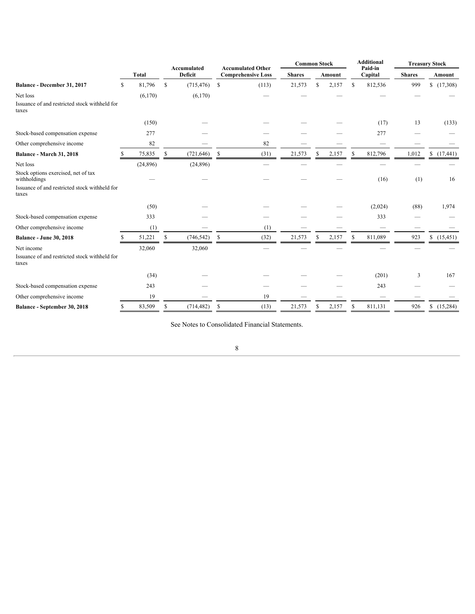|                                                        |       |           |    | Accumulated                   | <b>Accumulated Other</b>  | <b>Common Stock</b>              |     |                                 |    | Additional<br>Paid-in           |                          | <b>Treasury Stock</b>    |
|--------------------------------------------------------|-------|-----------|----|-------------------------------|---------------------------|----------------------------------|-----|---------------------------------|----|---------------------------------|--------------------------|--------------------------|
|                                                        | Total |           |    | Deficit                       | <b>Comprehensive Loss</b> | <b>Shares</b>                    |     | Amount                          |    | Capital                         | <b>Shares</b>            | Amount                   |
| Balance - December 31, 2017                            |       | 81,796    | -S | $(715, 476)$ \$               | (113)                     | 21,573                           | -S  | 2,157                           | -S | 812,536                         | 999                      | (17,308)                 |
| Net loss                                               |       | (6,170)   |    | (6,170)                       |                           |                                  |     |                                 |    |                                 |                          |                          |
| Issuance of and restricted stock withheld for<br>taxes |       |           |    |                               |                           |                                  |     |                                 |    |                                 |                          |                          |
|                                                        |       | (150)     |    |                               |                           |                                  |     |                                 |    | (17)                            | 13                       | (133)                    |
| Stock-based compensation expense                       |       | 277       |    |                               |                           |                                  |     |                                 |    | 277                             |                          |                          |
| Other comprehensive income                             |       | 82        |    | $\overbrace{\phantom{13333}}$ | 82                        | $\hspace{0.1mm}-\hspace{0.1mm}$  |     | $\overbrace{\phantom{aaaaa}}$   |    | $\overbrace{\phantom{12332}}$   |                          | $\hspace{0.05cm}$        |
| <b>Balance - March 31, 2018</b>                        |       | 75,835    | -8 | (721, 646)                    | (31)                      | 21,573                           | -8  | 2,157                           | -8 | 812,796                         | 1,012                    | (17, 441)                |
| Net loss                                               |       | (24, 896) |    | (24, 896)                     |                           |                                  |     |                                 |    |                                 |                          |                          |
| Stock options exercised, net of tax<br>withholdings    |       | –         |    |                               |                           |                                  |     |                                 |    | (16)                            | (1)                      | 16                       |
| Issuance of and restricted stock withheld for<br>taxes |       |           |    |                               |                           |                                  |     |                                 |    |                                 |                          |                          |
|                                                        |       | (50)      |    |                               |                           |                                  |     |                                 |    | (2,024)                         | (88)                     | 1,974                    |
| Stock-based compensation expense                       |       | 333       |    |                               |                           |                                  |     | –                               |    | 333                             | $\overline{\phantom{a}}$ | $\overline{\phantom{a}}$ |
| Other comprehensive income                             |       | (1)       |    | $\overbrace{\phantom{12333}}$ | (1)                       | $\overbrace{\phantom{aaaaa}}^{}$ |     |                                 |    | $\overline{\phantom{m}}$        |                          |                          |
| <b>Balance - June 30, 2018</b>                         |       | 51,221    |    | (746, 542)                    | (32)<br>- 8               | 21,573                           | -8  | 2,157                           | -S | 811,089                         | 923                      | $\frac{15,451}{2}$       |
| Net income                                             |       | 32,060    |    | 32,060                        |                           |                                  |     |                                 |    |                                 |                          |                          |
| Issuance of and restricted stock withheld for<br>taxes |       |           |    |                               |                           |                                  |     |                                 |    |                                 |                          |                          |
|                                                        |       | (34)      |    |                               |                           |                                  |     |                                 |    | (201)                           | $\overline{\mathbf{3}}$  | 167                      |
| Stock-based compensation expense                       |       | 243       |    |                               |                           |                                  |     |                                 |    | 243                             |                          |                          |
| Other comprehensive income                             |       | 19        |    |                               | 19                        | $\hspace{0.1mm}-\hspace{0.1mm}$  |     | $\hspace{0.1mm}-\hspace{0.1mm}$ |    | $\hspace{0.1mm}-\hspace{0.1mm}$ |                          |                          |
| Balance - September 30, 2018                           |       | 83,509    |    | $(714, 482)$ \$               | (13)                      | 21,573                           | - S | 2,157                           | -S | 811,131                         | 926                      | \$(15,284)               |

See Notes to Consolidated Financial Statements.

| ۰.<br>۰,<br>۰, |   |  |
|----------------|---|--|
|                |   |  |
|                |   |  |
|                |   |  |
| ۰.             | I |  |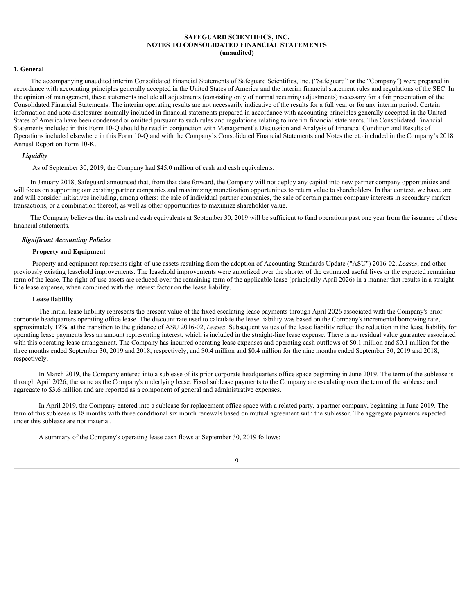#### <span id="page-8-0"></span>**1. General**

The accompanying unaudited interim Consolidated Financial Statements of Safeguard Scientifics, Inc. ("Safeguard" or the "Company") were prepared in accordance with accounting principles generally accepted in the United States of America and the interim financial statement rules and regulations of the SEC. In the opinion of management, these statements include all adjustments (consisting only of normal recurring adjustments) necessary for a fair presentation of the Consolidated Financial Statements. The interim operating results are not necessarily indicative of the results for a full year or for any interim period. Certain information and note disclosures normally included in financial statements prepared in accordance with accounting principles generally accepted in the United States of America have been condensed or omitted pursuant to such rules and regulations relating to interim financial statements. The Consolidated Financial Statements included in this Form 10-Q should be read in conjunction with Management's Discussion and Analysis of Financial Condition and Results of Operations included elsewhere in this Form 10-Q and with the Company's Consolidated Financial Statements and Notes thereto included in the Company's 2018 Annual Report on Form 10-K.

#### *Liquidity*

As of September 30, 2019, the Company had \$45.0 million of cash and cash equivalents.

In January 2018, Safeguard announced that, from that date forward, the Company will not deploy any capital into new partner company opportunities and will focus on supporting our existing partner companies and maximizing monetization opportunities to return value to shareholders. In that context, we have, are and will consider initiatives including, among others: the sale of individual partner companies, the sale of certain partner company interests in secondary market transactions, or a combination thereof, as well as other opportunities to maximize shareholder value.

The Company believes that its cash and cash equivalents at September 30, 2019 will be sufficient to fund operations past one year from the issuance of these financial statements.

## *Significant Accounting Policies*

## **Property and Equipment**

Property and equipment represents right-of-use assets resulting from the adoption of Accounting Standards Update ("ASU") 2016-02, *Leases*, and other previously existing leasehold improvements. The leasehold improvements were amortized over the shorter of the estimated useful lives or the expected remaining term of the lease. The right-of-use assets are reduced over the remaining term of the applicable lease (principally April 2026) in a manner that results in a straightline lease expense, when combined with the interest factor on the lease liability.

## **Lease liability**

The initial lease liability represents the present value of the fixed escalating lease payments through April 2026 associated with the Company's prior corporate headquarters operating office lease. The discount rate used to calculate the lease liability was based on the Company's incremental borrowing rate, approximately 12%, at the transition to the guidance of ASU 2016-02, *Leases*. Subsequent values of the lease liability reflect the reduction in the lease liability for operating lease payments less an amount representing interest, which is included in the straight-line lease expense. There is no residual value guarantee associated with this operating lease arrangement. The Company has incurred operating lease expenses and operating cash outflows of \$0.1 million and \$0.1 million for the three months ended September 30, 2019 and 2018, respectively, and \$0.4 million and \$0.4 million for the nine months ended September 30, 2019 and 2018, respectively.

In March 2019, the Company entered into a sublease of its prior corporate headquarters office space beginning in June 2019. The term of the sublease is through April 2026, the same as the Company's underlying lease. Fixed sublease payments to the Company are escalating over the term of the sublease and aggregate to \$3.6 million and are reported as a component of general and administrative expenses.

In April 2019, the Company entered into a sublease for replacement office space with a related party, a partner company, beginning in June 2019. The term of this sublease is 18 months with three conditional six month renewals based on mutual agreement with the sublessor. The aggregate payments expected under this sublease are not material.

A summary of the Company's operating lease cash flows at September 30, 2019 follows:

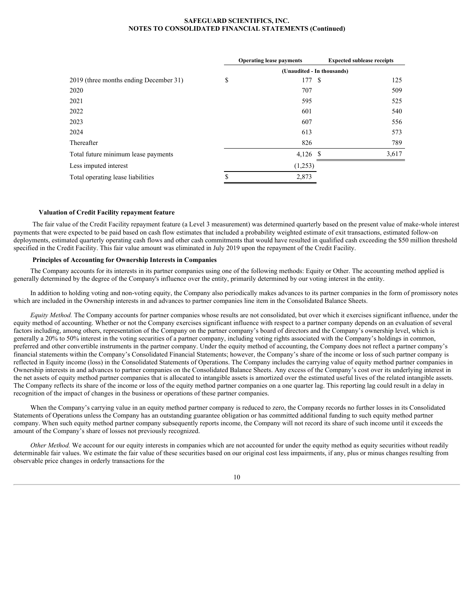|                                              | <b>Operating lease payments</b> | <b>Expected sublease receipts</b> |
|----------------------------------------------|---------------------------------|-----------------------------------|
|                                              | (Unaudited - In thousands)      |                                   |
| 2019 (three months ending December 31)<br>.Ъ | 177 \$                          | 125                               |
| 2020                                         | 707                             | 509                               |
| 2021                                         | 595                             | 525                               |
| 2022                                         | 601                             | 540                               |
| 2023                                         | 607                             | 556                               |
| 2024                                         | 613                             | 573                               |
| Thereafter                                   | 826                             | 789                               |
| Total future minimum lease payments          | $4,126$ \$                      | 3,617                             |
| Less imputed interest                        | (1,253)                         |                                   |
| Total operating lease liabilities            | 2,873                           |                                   |

#### **Valuation of Credit Facility repayment feature**

The fair value of the Credit Facility repayment feature (a Level 3 measurement) was determined quarterly based on the present value of make-whole interest payments that were expected to be paid based on cash flow estimates that included a probability weighted estimate of exit transactions, estimated follow-on deployments, estimated quarterly operating cash flows and other cash commitments that would have resulted in qualified cash exceeding the \$50 million threshold specified in the Credit Facility. This fair value amount was eliminated in July 2019 upon the repayment of the Credit Facility.

## **Principles of Accounting for Ownership Interests in Companies**

The Company accounts for its interests in its partner companies using one of the following methods: Equity or Other. The accounting method applied is generally determined by the degree of the Company's influence over the entity, primarily determined by our voting interest in the entity.

In addition to holding voting and non-voting equity, the Company also periodically makes advances to its partner companies in the form of promissory notes which are included in the Ownership interests in and advances to partner companies line item in the Consolidated Balance Sheets.

*Equity Method.* The Company accounts for partner companies whose results are not consolidated, but over which it exercises significant influence, under the equity method of accounting. Whether or not the Company exercises significant influence with respect to a partner company depends on an evaluation of several factors including, among others, representation of the Company on the partner company's board of directors and the Company's ownership level, which is generally a 20% to 50% interest in the voting securities of a partner company, including voting rights associated with the Company's holdings in common, preferred and other convertible instruments in the partner company. Under the equity method of accounting, the Company does not reflect a partner company's financial statements within the Company's Consolidated Financial Statements; however, the Company's share of the income or loss of such partner company is reflected in Equity income (loss) in the Consolidated Statements of Operations. The Company includes the carrying value of equity method partner companies in Ownership interests in and advances to partner companies on the Consolidated Balance Sheets. Any excess of the Company's cost over its underlying interest in the net assets of equity method partner companies that is allocated to intangible assets is amortized over the estimated useful lives of the related intangible assets. The Company reflects its share of the income or loss of the equity method partner companies on a one quarter lag. This reporting lag could result in a delay in recognition of the impact of changes in the business or operations of these partner companies.

When the Company's carrying value in an equity method partner company is reduced to zero, the Company records no further losses in its Consolidated Statements of Operations unless the Company has an outstanding guarantee obligation or has committed additional funding to such equity method partner company. When such equity method partner company subsequently reports income, the Company will not record its share of such income until it exceeds the amount of the Company's share of losses not previously recognized.

*Other Method.* We account for our equity interests in companies which are not accounted for under the equity method as equity securities without readily determinable fair values. We estimate the fair value of these securities based on our original cost less impairments, if any, plus or minus changes resulting from observable price changes in orderly transactions for the

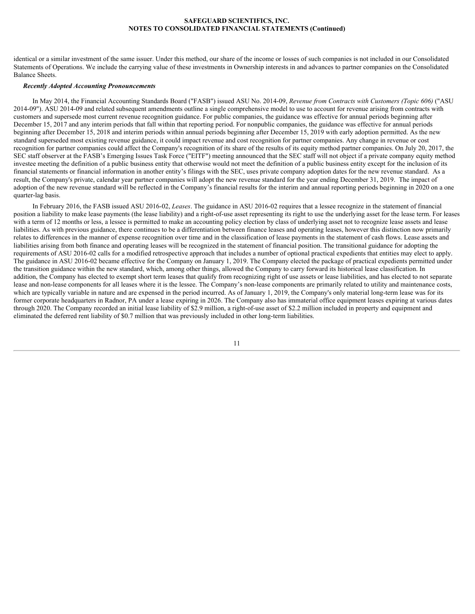identical or a similar investment of the same issuer. Under this method, our share of the income or losses of such companies is not included in our Consolidated Statements of Operations. We include the carrying value of these investments in Ownership interests in and advances to partner companies on the Consolidated Balance Sheets.

#### *Recently Adopted Accounting Pronouncements*

In May 2014, the Financial Accounting Standards Board ("FASB") issued ASU No. 2014-09, *Revenue from Contracts with Customers (Topic 606)* ("ASU 2014-09"). ASU 2014-09 and related subsequent amendments outline a single comprehensive model to use to account for revenue arising from contracts with customers and supersede most current revenue recognition guidance. For public companies, the guidance was effective for annual periods beginning after December 15, 2017 and any interim periods that fall within that reporting period. For nonpublic companies, the guidance was effective for annual periods beginning after December 15, 2018 and interim periods within annual periods beginning after December 15, 2019 with early adoption permitted. As the new standard superseded most existing revenue guidance, it could impact revenue and cost recognition for partner companies. Any change in revenue or cost recognition for partner companies could affect the Company's recognition of its share of the results of its equity method partner companies. On July 20, 2017, the SEC staff observer at the FASB's Emerging Issues Task Force ("EITF") meeting announced that the SEC staff will not object if a private company equity method investee meeting the definition of a public business entity that otherwise would not meet the definition of a public business entity except for the inclusion of its financial statements or financial information in another entity's filings with the SEC, uses private company adoption dates for the new revenue standard. As a result, the Company's private, calendar year partner companies will adopt the new revenue standard for the year ending December 31, 2019. The impact of adoption of the new revenue standard will be reflected in the Company's financial results for the interim and annual reporting periods beginning in 2020 on a one quarter-lag basis.

In February 2016, the FASB issued ASU 2016-02, *Leases*. The guidance in ASU 2016-02 requires that a lessee recognize in the statement of financial position a liability to make lease payments (the lease liability) and a right-of-use asset representing its right to use the underlying asset for the lease term. For leases with a term of 12 months or less, a lessee is permitted to make an accounting policy election by class of underlying asset not to recognize lease assets and lease liabilities. As with previous guidance, there continues to be a differentiation between finance leases and operating leases, however this distinction now primarily relates to differences in the manner of expense recognition over time and in the classification of lease payments in the statement of cash flows. Lease assets and liabilities arising from both finance and operating leases will be recognized in the statement of financial position. The transitional guidance for adopting the requirements of ASU 2016-02 calls for a modified retrospective approach that includes a number of optional practical expedients that entities may elect to apply. The guidance in ASU 2016-02 became effective for the Company on January 1, 2019. The Company elected the package of practical expedients permitted under the transition guidance within the new standard, which, among other things, allowed the Company to carry forward its historical lease classification. In addition, the Company has elected to exempt short term leases that qualify from recognizing right of use assets or lease liabilities, and has elected to not separate lease and non-lease components for all leases where it is the lessee. The Company's non-lease components are primarily related to utility and maintenance costs, which are typically variable in nature and are expensed in the period incurred. As of January 1, 2019, the Company's only material long-term lease was for its former corporate headquarters in Radnor, PA under a lease expiring in 2026. The Company also has immaterial office equipment leases expiring at various dates through 2020. The Company recorded an initial lease liability of \$2.9 million, a right-of-use asset of \$2.2 million included in property and equipment and eliminated the deferred rent liability of \$0.7 million that was previously included in other long-term liabilities.

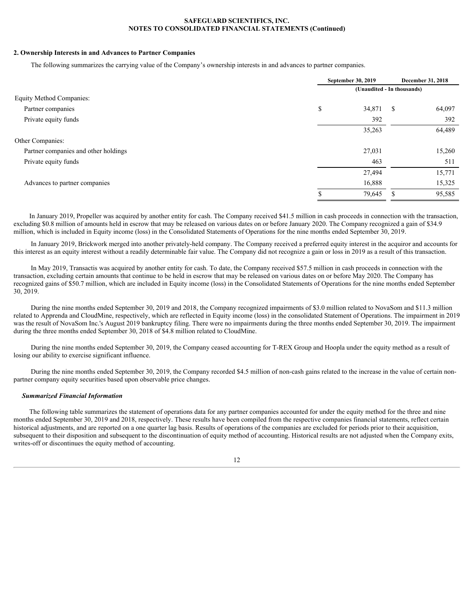## **2. Ownership Interests in and Advances to Partner Companies**

The following summarizes the carrying value of the Company's ownership interests in and advances to partner companies.

|                                      |    | September 30, 2019         |    | <b>December 31, 2018</b> |
|--------------------------------------|----|----------------------------|----|--------------------------|
|                                      |    | (Unaudited - In thousands) |    |                          |
| <b>Equity Method Companies:</b>      |    |                            |    |                          |
| Partner companies                    | \$ | 34,871                     | -S | 64,097                   |
| Private equity funds                 |    | 392                        |    | 392                      |
|                                      |    | 35,263                     |    | 64,489                   |
| Other Companies:                     |    |                            |    |                          |
| Partner companies and other holdings |    | 27,031                     |    | 15,260                   |
| Private equity funds                 |    | 463                        |    | 511                      |
|                                      |    | 27,494                     |    | 15,771                   |
| Advances to partner companies        |    | 16,888                     |    | 15,325                   |
|                                      |    | 79,645                     |    | 95,585                   |

In January 2019, Propeller was acquired by another entity for cash. The Company received \$41.5 million in cash proceeds in connection with the transaction, excluding \$0.8 million of amounts held in escrow that may be released on various dates on or before January 2020. The Company recognized a gain of \$34.9 million, which is included in Equity income (loss) in the Consolidated Statements of Operations for the nine months ended September 30, 2019.

In January 2019, Brickwork merged into another privately-held company. The Company received a preferred equity interest in the acquiror and accounts for this interest as an equity interest without a readily determinable fair value. The Company did not recognize a gain or loss in 2019 as a result of this transaction.

In May 2019, Transactis was acquired by another entity for cash. To date, the Company received \$57.5 million in cash proceeds in connection with the transaction, excluding certain amounts that continue to be held in escrow that may be released on various dates on or before May 2020. The Company has recognized gains of \$50.7 million, which are included in Equity income (loss) in the Consolidated Statements of Operations for the nine months ended September 30, 2019.

During the nine months ended September 30, 2019 and 2018, the Company recognized impairments of \$3.0 million related to NovaSom and \$11.3 million related to Apprenda and CloudMine, respectively, which are reflected in Equity income (loss) in the consolidated Statement of Operations. The impairment in 2019 was the result of NovaSom Inc.'s August 2019 bankruptcy filing. There were no impairments during the three months ended September 30, 2019. The impairment during the three months ended September 30, 2018 of \$4.8 million related to CloudMine.

During the nine months ended September 30, 2019, the Company ceased accounting for T-REX Group and Hoopla under the equity method as a result of losing our ability to exercise significant influence.

During the nine months ended September 30, 2019, the Company recorded \$4.5 million of non-cash gains related to the increase in the value of certain nonpartner company equity securities based upon observable price changes.

## *Summarized Financial Information*

The following table summarizes the statement of operations data for any partner companies accounted for under the equity method for the three and nine months ended September 30, 2019 and 2018, respectively. These results have been compiled from the respective companies financial statements, reflect certain historical adjustments, and are reported on a one quarter lag basis. Results of operations of the companies are excluded for periods prior to their acquisition, subsequent to their disposition and subsequent to the discontinuation of equity method of accounting. Historical results are not adjusted when the Company exits, writes-off or discontinues the equity method of accounting.

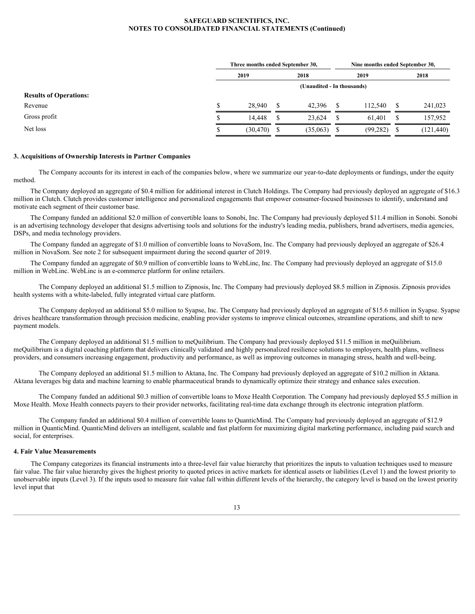|                               | Three months ended September 30, |                            | Nine months ended September 30, |            |
|-------------------------------|----------------------------------|----------------------------|---------------------------------|------------|
|                               | 2019                             | 2018                       | 2019                            | 2018       |
|                               |                                  | (Unaudited - In thousands) |                                 |            |
| <b>Results of Operations:</b> |                                  |                            |                                 |            |
| Revenue                       | 28,940                           | 42.396                     | 112,540                         | 241,023    |
| Gross profit                  | 14,448                           | 23,624                     | 61,401                          | 157,952    |
| Net loss                      | $(30, 470)$ \$                   | $(35,063)$ \$              | (99, 282)                       | (121, 440) |
|                               |                                  |                            |                                 |            |

## **3. Acquisitions of Ownership Interests in Partner Companies**

The Company accounts for its interest in each of the companies below, where we summarize our year-to-date deployments or fundings, under the equity method.

The Company deployed an aggregate of \$0.4 million for additional interest in Clutch Holdings. The Company had previously deployed an aggregate of \$16.3 million in Clutch. Clutch provides customer intelligence and personalized engagements that empower consumer-focused businesses to identify, understand and motivate each segment of their customer base.

The Company funded an additional \$2.0 million of convertible loans to Sonobi, Inc. The Company had previously deployed \$11.4 million in Sonobi. Sonobi is an advertising technology developer that designs advertising tools and solutions for the industry's leading media, publishers, brand advertisers, media agencies, DSPs, and media technology providers.

The Company funded an aggregate of \$1.0 million of convertible loans to NovaSom, Inc. The Company had previously deployed an aggregate of \$26.4 million in NovaSom. See note 2 for subsequent impairment during the second quarter of 2019.

The Company funded an aggregate of \$0.9 million of convertible loans to WebLinc, Inc. The Company had previously deployed an aggregate of \$15.0 million in WebLinc. WebLinc is an e-commerce platform for online retailers.

 The Company deployed an additional \$1.5 million to Zipnosis, Inc. The Company had previously deployed \$8.5 million in Zipnosis. Zipnosis provides health systems with a white-labeled, fully integrated virtual care platform.

The Company deployed an additional \$5.0 million to Syapse, Inc. The Company had previously deployed an aggregate of \$15.6 million in Syapse. Syapse drives healthcare transformation through precision medicine, enabling provider systems to improve clinical outcomes, streamline operations, and shift to new payment models.

The Company deployed an additional \$1.5 million to meQuilibrium. The Company had previously deployed \$11.5 million in meQuilibrium. meQuilibrium is a digital coaching platform that delivers clinically validated and highly personalized resilience solutions to employers, health plans, wellness providers, and consumers increasing engagement, productivity and performance, as well as improving outcomes in managing stress, health and well-being.

The Company deployed an additional \$1.5 million to Aktana, Inc. The Company had previously deployed an aggregate of \$10.2 million in Aktana. Aktana leverages big data and machine learning to enable pharmaceutical brands to dynamically optimize their strategy and enhance sales execution.

The Company funded an additional \$0.3 million of convertible loans to Moxe Health Corporation. The Company had previously deployed \$5.5 million in Moxe Health. Moxe Health connects payers to their provider networks, facilitating real-time data exchange through its electronic integration platform.

The Company funded an additional \$0.4 million of convertible loans to QuanticMind. The Company had previously deployed an aggregate of \$12.9 million in QuanticMind. QuanticMind delivers an intelligent, scalable and fast platform for maximizing digital marketing performance, including paid search and social, for enterprises.

#### **4. Fair Value Measurements**

The Company categorizes its financial instruments into a three-level fair value hierarchy that prioritizes the inputs to valuation techniques used to measure fair value. The fair value hierarchy gives the highest priority to quoted prices in active markets for identical assets or liabilities (Level 1) and the lowest priority to unobservable inputs (Level 3). If the inputs used to measure fair value fall within different levels of the hierarchy, the category level is based on the lowest priority level input that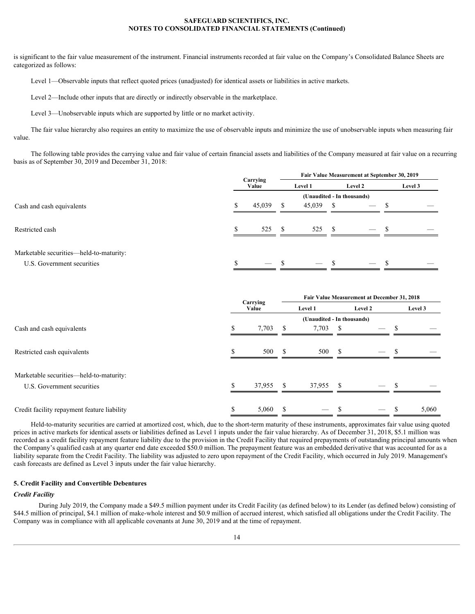is significant to the fair value measurement of the instrument. Financial instruments recorded at fair value on the Company's Consolidated Balance Sheets are categorized as follows:

Level 1—Observable inputs that reflect quoted prices (unadjusted) for identical assets or liabilities in active markets.

Level 2—Include other inputs that are directly or indirectly observable in the marketplace.

Level 3—Unobservable inputs which are supported by little or no market activity.

The fair value hierarchy also requires an entity to maximize the use of observable inputs and minimize the use of unobservable inputs when measuring fair value.

The following table provides the carrying value and fair value of certain financial assets and liabilities of the Company measured at fair value on a recurring basis as of September 30, 2019 and December 31, 2018:

|                                         | Carrying                 |                          | Fair Value Measurement at September 30, 2019 |                          |
|-----------------------------------------|--------------------------|--------------------------|----------------------------------------------|--------------------------|
|                                         | Value                    | <b>Level 1</b>           | Level 2                                      | Level 3                  |
|                                         |                          |                          | (Unaudited - In thousands)                   |                          |
| Cash and cash equivalents               | 45,039<br>- 85           | 45,039                   | $\overline{\phantom{m}}$                     | $\overline{\phantom{a}}$ |
|                                         |                          |                          |                                              |                          |
| Restricted cash                         | 525<br>- 5               | 525                      | $\mathcal{L}$<br>$\overline{\phantom{0}}$    |                          |
|                                         |                          |                          |                                              |                          |
| Marketable securities-held-to-maturity: |                          |                          |                                              |                          |
| U.S. Government securities              | $\overline{\phantom{a}}$ | $\overline{\phantom{a}}$ | $\overline{\phantom{a}}$                     | $\overline{\phantom{m}}$ |
|                                         |                          |                          |                                              |                          |

| Carrying<br>Level 1<br>Level 3<br>Value<br>Level 2<br>(Unaudited - In thousands)<br>7,703<br>7,703<br>Cash and cash equivalents<br>- 5<br>$\hspace{0.1mm}-\hspace{0.1mm}$<br>500<br>500 \$<br>Restricted cash equivalents<br>- S<br>$\overline{\phantom{a}}$<br>$\hspace{0.1mm}-\hspace{0.1mm}$ |
|-------------------------------------------------------------------------------------------------------------------------------------------------------------------------------------------------------------------------------------------------------------------------------------------------|
|                                                                                                                                                                                                                                                                                                 |
|                                                                                                                                                                                                                                                                                                 |
|                                                                                                                                                                                                                                                                                                 |
|                                                                                                                                                                                                                                                                                                 |
| Marketable securities-held-to-maturity:                                                                                                                                                                                                                                                         |
| 37,955 \$<br>37,955 \$<br>U.S. Government securities<br>$\overline{\phantom{a}}$<br>$\hspace{0.1mm}-\hspace{0.1mm}$                                                                                                                                                                             |
| 5,060<br>5,060<br>Credit facility repayment feature liability<br>$\mathbf{s}$<br>$\overline{\phantom{a}}$<br>$\overline{\phantom{a}}$                                                                                                                                                           |

Held-to-maturity securities are carried at amortized cost, which, due to the short-term maturity of these instruments, approximates fair value using quoted prices in active markets for identical assets or liabilities defined as Level 1 inputs under the fair value hierarchy. As of December 31, 2018, \$5.1 million was recorded as a credit facility repayment feature liability due to the provision in the Credit Facility that required prepayments of outstanding principal amounts when the Company's qualified cash at any quarter end date exceeded \$50.0 million. The prepayment feature was an embedded derivative that was accounted for as a liability separate from the Credit Facility. The liability was adjusted to zero upon repayment of the Credit Facility, which occurred in July 2019. Management's cash forecasts are defined as Level 3 inputs under the fair value hierarchy.

## **5. Credit Facility and Convertible Debentures**

#### *Credit Facility*

During July 2019, the Company made a \$49.5 million payment under its Credit Facility (as defined below) to its Lender (as defined below) consisting of \$44.5 million of principal, \$4.1 million of make-whole interest and \$0.9 million of accrued interest, which satisfied all obligations under the Credit Facility. The Company was in compliance with all applicable covenants at June 30, 2019 and at the time of repayment.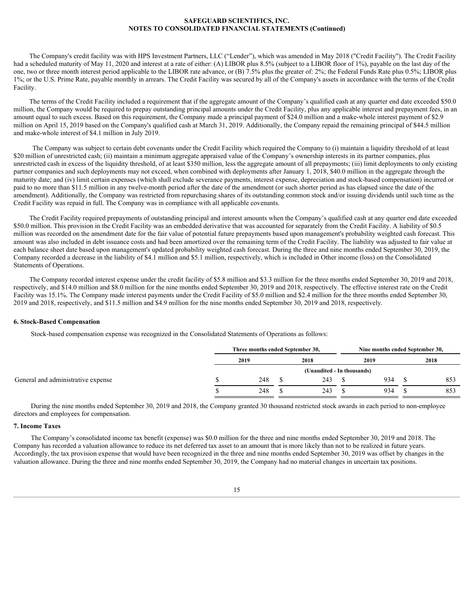The Company's credit facility was with HPS Investment Partners, LLC ("Lender"), which was amended in May 2018 ("Credit Facility"). The Credit Facility had a scheduled maturity of May 11, 2020 and interest at a rate of either: (A) LIBOR plus 8.5% (subject to a LIBOR floor of 1%), payable on the last day of the one, two or three month interest period applicable to the LIBOR rate advance, or (B) 7.5% plus the greater of: 2%; the Federal Funds Rate plus 0.5%; LIBOR plus 1%; or the U.S. Prime Rate, payable monthly in arrears. The Credit Facility was secured by all of the Company's assets in accordance with the terms of the Credit Facility.

The terms of the Credit Facility included a requirement that if the aggregate amount of the Company's qualified cash at any quarter end date exceeded \$50.0 million, the Company would be required to prepay outstanding principal amounts under the Credit Facility, plus any applicable interest and prepayment fees, in an amount equal to such excess. Based on this requirement, the Company made a principal payment of \$24.0 million and a make-whole interest payment of \$2.9 million on April 15, 2019 based on the Company's qualified cash at March 31, 2019. Additionally, the Company repaid the remaining principal of \$44.5 million and make-whole interest of \$4.1 million in July 2019.

The Company was subject to certain debt covenants under the Credit Facility which required the Company to (i) maintain a liquidity threshold of at least \$20 million of unrestricted cash; (ii) maintain a minimum aggregate appraised value of the Company's ownership interests in its partner companies, plus unrestricted cash in excess of the liquidity threshold, of at least \$350 million, less the aggregate amount of all prepayments; (iii) limit deployments to only existing partner companies and such deployments may not exceed, when combined with deployments after January 1, 2018, \$40.0 million in the aggregate through the maturity date; and (iv) limit certain expenses (which shall exclude severance payments, interest expense, depreciation and stock-based compensation) incurred or paid to no more than \$11.5 million in any twelve-month period after the date of the amendment (or such shorter period as has elapsed since the date of the amendment). Additionally, the Company was restricted from repurchasing shares of its outstanding common stock and/or issuing dividends until such time as the Credit Facility was repaid in full. The Company was in compliance with all applicable covenants.

The Credit Facility required prepayments of outstanding principal and interest amounts when the Company's qualified cash at any quarter end date exceeded \$50.0 million. This provision in the Credit Facility was an embedded derivative that was accounted for separately from the Credit Facility. A liability of \$0.5 million was recorded on the amendment date for the fair value of potential future prepayments based upon management's probability weighted cash forecast. This amount was also included in debt issuance costs and had been amortized over the remaining term of the Credit Facility. The liability was adjusted to fair value at each balance sheet date based upon management's updated probability weighted cash forecast. During the three and nine months ended September 30, 2019, the Company recorded a decrease in the liability of \$4.1 million and \$5.1 million, respectively, which is included in Other income (loss) on the Consolidated Statements of Operations.

The Company recorded interest expense under the credit facility of \$5.8 million and \$3.3 million for the three months ended September 30, 2019 and 2018, respectively, and \$14.0 million and \$8.0 million for the nine months ended September 30, 2019 and 2018, respectively. The effective interest rate on the Credit Facility was 15.1%. The Company made interest payments under the Credit Facility of \$5.0 million and \$2.4 million for the three months ended September 30, 2019 and 2018, respectively, and \$11.5 million and \$4.9 million for the nine months ended September 30, 2019 and 2018, respectively.

#### **6. Stock-Based Compensation**

Stock-based compensation expense was recognized in the Consolidated Statements of Operations as follows:

|                                    | Three months ended September 30, |                            | Nine months ended September 30, |      |
|------------------------------------|----------------------------------|----------------------------|---------------------------------|------|
|                                    | 2019                             | 2018                       | 2019                            | 2018 |
|                                    |                                  | (Unaudited - In thousands) |                                 |      |
| General and administrative expense | 248                              | 243                        | 934                             | 853  |
|                                    | 248                              | 243                        | 934                             | 853  |

During the nine months ended September 30, 2019 and 2018, the Company granted 30 thousand restricted stock awards in each period to non-employee directors and employees for compensation.

## **7. Income Taxes**

The Company's consolidated income tax benefit (expense) was \$0.0 million for the three and nine months ended September 30, 2019 and 2018. The Company has recorded a valuation allowance to reduce its net deferred tax asset to an amount that is more likely than not to be realized in future years. Accordingly, the tax provision expense that would have been recognized in the three and nine months ended September 30, 2019 was offset by changes in the valuation allowance. During the three and nine months ended September 30, 2019, the Company had no material changes in uncertain tax positions.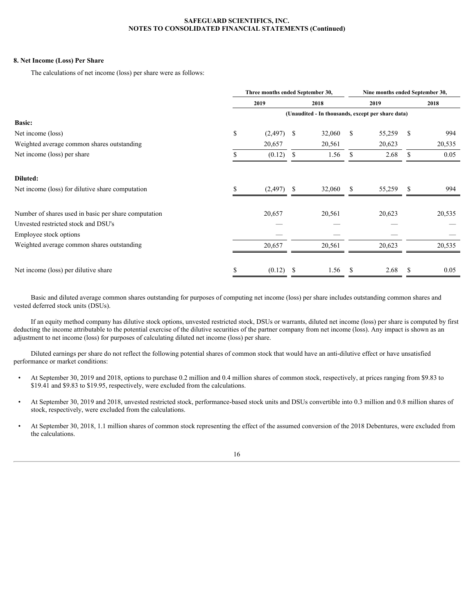## **8. Net Income (Loss) Per Share**

The calculations of net income (loss) per share were as follows:

|                                                      |               | Three months ended September 30, |                                                   |      | Nine months ended September 30, |     |                   |  |      |  |
|------------------------------------------------------|---------------|----------------------------------|---------------------------------------------------|------|---------------------------------|-----|-------------------|--|------|--|
|                                                      |               | 2019                             |                                                   | 2018 |                                 |     | 2019              |  | 2018 |  |
|                                                      |               |                                  | (Unaudited - In thousands, except per share data) |      |                                 |     |                   |  |      |  |
| <b>Basic:</b>                                        |               |                                  |                                                   |      |                                 |     |                   |  |      |  |
| Net income (loss)                                    | <sup>\$</sup> | $(2,497)$ \$                     | 32,060 \$                                         |      | 55,259 \$                       |     | 994               |  |      |  |
| Weighted average common shares outstanding           |               | 20,657                           | 20,561                                            |      | 20,623                          |     | 20,535            |  |      |  |
| Net income (loss) per share                          |               | $(0.12)$ \$                      | 1.56                                              | - \$ |                                 |     | 0.05              |  |      |  |
|                                                      |               |                                  |                                                   |      |                                 |     |                   |  |      |  |
| Diluted:                                             |               |                                  |                                                   |      |                                 |     |                   |  |      |  |
| Net income (loss) for dilutive share computation     |               | $(2,497)$ \$                     | 32,060 \$                                         |      | 55,259 \$                       |     | 994               |  |      |  |
|                                                      |               |                                  |                                                   |      |                                 |     |                   |  |      |  |
| Number of shares used in basic per share computation |               | 20,657                           | 20,561                                            |      | 20,623                          |     | 20,535            |  |      |  |
| Unvested restricted stock and DSU's                  |               |                                  |                                                   |      | __                              |     |                   |  |      |  |
| Employee stock options                               |               | $\overbrace{\phantom{aaaaa}}$    |                                                   |      | $\overbrace{\phantom{13333}}$   |     | $\hspace{0.05cm}$ |  |      |  |
| Weighted average common shares outstanding           |               | 20,657                           | 20,561                                            |      | 20,623                          |     | 20,535            |  |      |  |
|                                                      |               |                                  |                                                   |      |                                 |     |                   |  |      |  |
| Net income (loss) per dilutive share                 |               | $(0.12)$ \$                      | 1.56                                              | - 25 | 2.68                            | - S | 0.05              |  |      |  |

Basic and diluted average common shares outstanding for purposes of computing net income (loss) per share includes outstanding common shares and vested deferred stock units (DSUs).

If an equity method company has dilutive stock options, unvested restricted stock, DSUs or warrants, diluted net income (loss) per share is computed by first deducting the income attributable to the potential exercise of the dilutive securities of the partner company from net income (loss). Any impact is shown as an adjustment to net income (loss) for purposes of calculating diluted net income (loss) per share.

Diluted earnings per share do not reflect the following potential shares of common stock that would have an anti-dilutive effect or have unsatisfied performance or market conditions:

- At September 30, 2019 and 2018, options to purchase 0.2 million and 0.4 million shares of common stock, respectively, at prices ranging from \$9.83 to \$19.41 and \$9.83 to \$19.95, respectively, were excluded from the calculations.
- At September 30, 2019 and 2018, unvested restricted stock, performance-based stock units and DSUs convertible into 0.3 million and 0.8 million shares of stock, respectively, were excluded from the calculations.
- At September 30, 2018, 1.1 million shares of common stock representing the effect of the assumed conversion of the 2018 Debentures, were excluded from the calculations.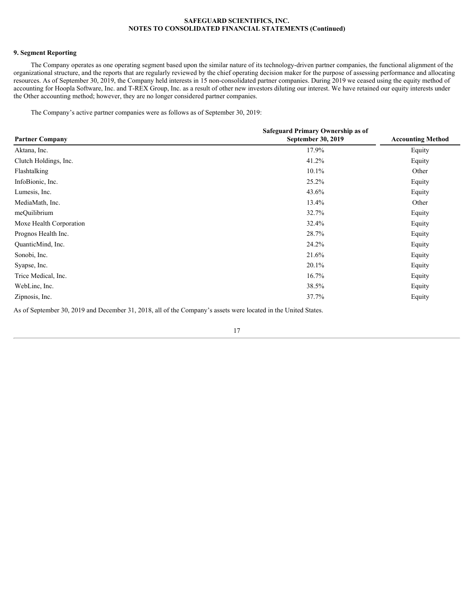## **9. Segment Reporting**

The Company operates as one operating segment based upon the similar nature of its technology-driven partner companies, the functional alignment of the organizational structure, and the reports that are regularly reviewed by the chief operating decision maker for the purpose of assessing performance and allocating resources. As of September 30, 2019, the Company held interests in 15 non-consolidated partner companies. During 2019 we ceased using the equity method of accounting for Hoopla Software, Inc. and T-REX Group, Inc. as a result of other new investors diluting our interest. We have retained our equity interests under the Other accounting method; however, they are no longer considered partner companies.

The Company's active partner companies were as follows as of September 30, 2019:

|                         | <b>Safeguard Primary Ownership as of</b> |                          |
|-------------------------|------------------------------------------|--------------------------|
| <b>Partner Company</b>  | September 30, 2019                       | <b>Accounting Method</b> |
| Aktana, Inc.            | 17.9%                                    | Equity                   |
| Clutch Holdings, Inc.   | 41.2%                                    | Equity                   |
| Flashtalking            | 10.1%                                    | Other                    |
| InfoBionic, Inc.        | 25.2%                                    | Equity                   |
| Lumesis, Inc.           | 43.6%                                    | Equity                   |
| MediaMath, Inc.         | 13.4%                                    | Other                    |
| meQuilibrium            | 32.7%                                    | Equity                   |
| Moxe Health Corporation | 32.4%                                    | Equity                   |
| Prognos Health Inc.     | 28.7%                                    | Equity                   |
| QuanticMind, Inc.       | 24.2%                                    | Equity                   |
| Sonobi, Inc.            | 21.6%                                    | Equity                   |
| Syapse, Inc.            | 20.1%                                    | Equity                   |
| Trice Medical, Inc.     | 16.7%                                    | Equity                   |
| WebLinc, Inc.           | 38.5%                                    | Equity                   |
| Zipnosis, Inc.          | 37.7%                                    | Equity                   |
|                         |                                          |                          |

As of September 30, 2019 and December 31, 2018, all of the Company's assets were located in the United States.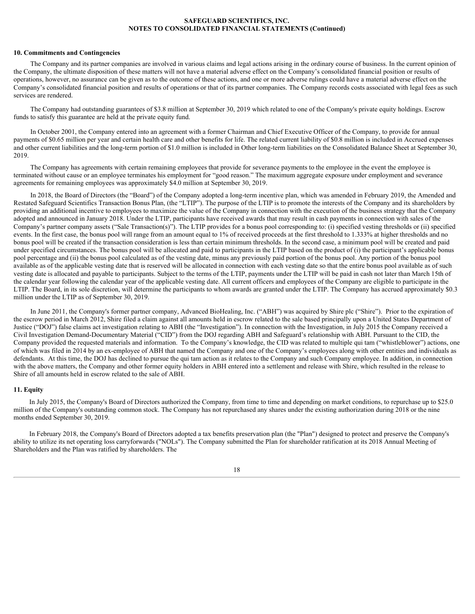#### **10. Commitments and Contingencies**

The Company and its partner companies are involved in various claims and legal actions arising in the ordinary course of business. In the current opinion of the Company, the ultimate disposition of these matters will not have a material adverse effect on the Company's consolidated financial position or results of operations, however, no assurance can be given as to the outcome of these actions, and one or more adverse rulings could have a material adverse effect on the Company's consolidated financial position and results of operations or that of its partner companies. The Company records costs associated with legal fees as such services are rendered.

The Company had outstanding guarantees of \$3.8 million at September 30, 2019 which related to one of the Company's private equity holdings. Escrow funds to satisfy this guarantee are held at the private equity fund.

In October 2001, the Company entered into an agreement with a former Chairman and Chief Executive Officer of the Company, to provide for annual payments of \$0.65 million per year and certain health care and other benefits for life. The related current liability of \$0.8 million is included in Accrued expenses and other current liabilities and the long-term portion of \$1.0 million is included in Other long-term liabilities on the Consolidated Balance Sheet at September 30, 2019.

The Company has agreements with certain remaining employees that provide for severance payments to the employee in the event the employee is terminated without cause or an employee terminates his employment for "good reason." The maximum aggregate exposure under employment and severance agreements for remaining employees was approximately \$4.0 million at September 30, 2019.

In 2018, the Board of Directors (the "Board") of the Company adopted a long-term incentive plan, which was amended in February 2019, the Amended and Restated Safeguard Scientifics Transaction Bonus Plan, (the "LTIP"). The purpose of the LTIP is to promote the interests of the Company and its shareholders by providing an additional incentive to employees to maximize the value of the Company in connection with the execution of the business strategy that the Company adopted and announced in January 2018. Under the LTIP, participants have received awards that may result in cash payments in connection with sales of the Company's partner company assets ("Sale Transaction(s)"). The LTIP provides for a bonus pool corresponding to: (i) specified vesting thresholds or (ii) specified events. In the first case, the bonus pool will range from an amount equal to 1% of received proceeds at the first threshold to 1.333% at higher thresholds and no bonus pool will be created if the transaction consideration is less than certain minimum thresholds. In the second case, a minimum pool will be created and paid under specified circumstances. The bonus pool will be allocated and paid to participants in the LTIP based on the product of (i) the participant's applicable bonus pool percentage and (ii) the bonus pool calculated as of the vesting date, minus any previously paid portion of the bonus pool. Any portion of the bonus pool available as of the applicable vesting date that is reserved will be allocated in connection with each vesting date so that the entire bonus pool available as of such vesting date is allocated and payable to participants. Subject to the terms of the LTIP, payments under the LTIP will be paid in cash not later than March 15th of the calendar year following the calendar year of the applicable vesting date. All current officers and employees of the Company are eligible to participate in the LTIP. The Board, in its sole discretion, will determine the participants to whom awards are granted under the LTIP. The Company has accrued approximately \$0.3 million under the LTIP as of September 30, 2019.

In June 2011, the Company's former partner company, Advanced BioHealing, Inc. ("ABH") was acquired by Shire plc ("Shire"). Prior to the expiration of the escrow period in March 2012, Shire filed a claim against all amounts held in escrow related to the sale based principally upon a United States Department of Justice ("DOJ") false claims act investigation relating to ABH (the "Investigation"). In connection with the Investigation, in July 2015 the Company received a Civil Investigation Demand-Documentary Material ("CID") from the DOJ regarding ABH and Safeguard's relationship with ABH. Pursuant to the CID, the Company provided the requested materials and information. To the Company's knowledge, the CID was related to multiple qui tam ("whistleblower") actions, one of which was filed in 2014 by an ex-employee of ABH that named the Company and one of the Company's employees along with other entities and individuals as defendants. At this time, the DOJ has declined to pursue the qui tam action as it relates to the Company and such Company employee. In addition, in connection with the above matters, the Company and other former equity holders in ABH entered into a settlement and release with Shire, which resulted in the release to Shire of all amounts held in escrow related to the sale of ABH.

#### **11. Equity**

In July 2015, the Company's Board of Directors authorized the Company, from time to time and depending on market conditions, to repurchase up to \$25.0 million of the Company's outstanding common stock. The Company has not repurchased any shares under the existing authorization during 2018 or the nine months ended September 30, 2019.

In February 2018, the Company's Board of Directors adopted a tax benefits preservation plan (the "Plan") designed to protect and preserve the Company's ability to utilize its net operating loss carryforwards ("NOLs"). The Company submitted the Plan for shareholder ratification at its 2018 Annual Meeting of Shareholders and the Plan was ratified by shareholders. The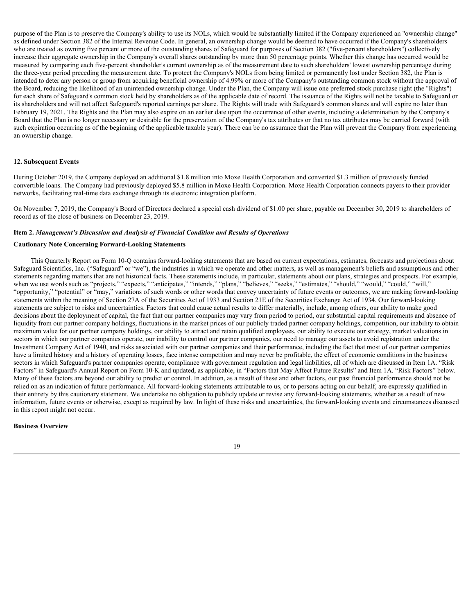purpose of the Plan is to preserve the Company's ability to use its NOLs, which would be substantially limited if the Company experienced an "ownership change" as defined under Section 382 of the Internal Revenue Code. In general, an ownership change would be deemed to have occurred if the Company's shareholders who are treated as owning five percent or more of the outstanding shares of Safeguard for purposes of Section 382 ("five-percent shareholders") collectively increase their aggregate ownership in the Company's overall shares outstanding by more than 50 percentage points. Whether this change has occurred would be measured by comparing each five-percent shareholder's current ownership as of the measurement date to such shareholders' lowest ownership percentage during the three-year period preceding the measurement date. To protect the Company's NOLs from being limited or permanently lost under Section 382, the Plan is intended to deter any person or group from acquiring beneficial ownership of 4.99% or more of the Company's outstanding common stock without the approval of the Board, reducing the likelihood of an unintended ownership change. Under the Plan, the Company will issue one preferred stock purchase right (the "Rights") for each share of Safeguard's common stock held by shareholders as of the applicable date of record. The issuance of the Rights will not be taxable to Safeguard or its shareholders and will not affect Safeguard's reported earnings per share. The Rights will trade with Safeguard's common shares and will expire no later than February 19, 2021. The Rights and the Plan may also expire on an earlier date upon the occurrence of other events, including a determination by the Company's Board that the Plan is no longer necessary or desirable for the preservation of the Company's tax attributes or that no tax attributes may be carried forward (with such expiration occurring as of the beginning of the applicable taxable year). There can be no assurance that the Plan will prevent the Company from experiencing an ownership change.

## **12. Subsequent Events**

During October 2019, the Company deployed an additional \$1.8 million into Moxe Health Corporation and converted \$1.3 million of previously funded convertible loans. The Company had previously deployed \$5.8 million in Moxe Health Corporation. Moxe Health Corporation connects payers to their provider networks, facilitating real-time data exchange through its electronic integration platform.

On November 7, 2019, the Company's Board of Directors declared a special cash dividend of \$1.00 per share, payable on December 30, 2019 to shareholders of record as of the close of business on December 23, 2019.

#### <span id="page-18-0"></span>**Item 2.** *Management's Discussion and Analysis of Financial Condition and Results of Operations*

## **Cautionary Note Concerning Forward-Looking Statements**

This Quarterly Report on Form 10-Q contains forward-looking statements that are based on current expectations, estimates, forecasts and projections about Safeguard Scientifics, Inc. ("Safeguard" or "we"), the industries in which we operate and other matters, as well as management's beliefs and assumptions and other statements regarding matters that are not historical facts. These statements include, in particular, statements about our plans, strategies and prospects. For example, when we use words such as "projects," "expects," "anticipates," "intends," "plans," "believes," "seeks," "estimates," "should," "would," "could," "will," "opportunity," "potential" or "may," variations of such words or other words that convey uncertainty of future events or outcomes, we are making forward-looking statements within the meaning of Section 27A of the Securities Act of 1933 and Section 21E of the Securities Exchange Act of 1934. Our forward-looking statements are subject to risks and uncertainties. Factors that could cause actual results to differ materially, include, among others, our ability to make good decisions about the deployment of capital, the fact that our partner companies may vary from period to period, our substantial capital requirements and absence of liquidity from our partner company holdings, fluctuations in the market prices of our publicly traded partner company holdings, competition, our inability to obtain maximum value for our partner company holdings, our ability to attract and retain qualified employees, our ability to execute our strategy, market valuations in sectors in which our partner companies operate, our inability to control our partner companies, our need to manage our assets to avoid registration under the Investment Company Act of 1940, and risks associated with our partner companies and their performance, including the fact that most of our partner companies have a limited history and a history of operating losses, face intense competition and may never be profitable, the effect of economic conditions in the business sectors in which Safeguard's partner companies operate, compliance with government regulation and legal liabilities, all of which are discussed in Item 1A. "Risk Factors" in Safeguard's Annual Report on Form 10-K and updated, as applicable, in "Factors that May Affect Future Results" and Item 1A. "Risk Factors" below. Many of these factors are beyond our ability to predict or control. In addition, as a result of these and other factors, our past financial performance should not be relied on as an indication of future performance. All forward-looking statements attributable to us, or to persons acting on our behalf, are expressly qualified in their entirety by this cautionary statement. We undertake no obligation to publicly update or revise any forward-looking statements, whether as a result of new information, future events or otherwise, except as required by law. In light of these risks and uncertainties, the forward-looking events and circumstances discussed in this report might not occur.

**Business Overview**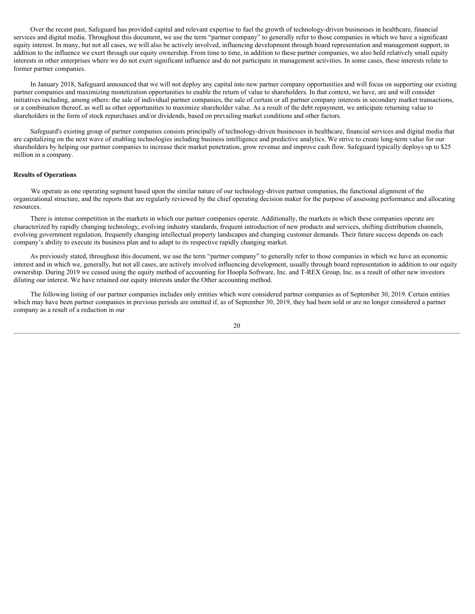Over the recent past, Safeguard has provided capital and relevant expertise to fuel the growth of technology-driven businesses in healthcare, financial services and digital media. Throughout this document, we use the term "partner company" to generally refer to those companies in which we have a significant equity interest. In many, but not all cases, we will also be actively involved, influencing development through board representation and management support, in addition to the influence we exert through our equity ownership. From time to time, in addition to these partner companies, we also hold relatively small equity interests in other enterprises where we do not exert significant influence and do not participate in management activities. In some cases, these interests relate to former partner companies.

In January 2018, Safeguard announced that we will not deploy any capital into new partner company opportunities and will focus on supporting our existing partner companies and maximizing monetization opportunities to enable the return of value to shareholders. In that context, we have, are and will consider initiatives including, among others: the sale of individual partner companies, the sale of certain or all partner company interests in secondary market transactions, or a combination thereof, as well as other opportunities to maximize shareholder value. As a result of the debt repayment, we anticipate returning value to shareholders in the form of stock repurchases and/or dividends, based on prevailing market conditions and other factors.

Safeguard's existing group of partner companies consists principally of technology-driven businesses in healthcare, financial services and digital media that are capitalizing on the next wave of enabling technologies including business intelligence and predictive analytics. We strive to create long-term value for our shareholders by helping our partner companies to increase their market penetration, grow revenue and improve cash flow. Safeguard typically deploys up to \$25 million in a company.

#### **Results of Operations**

We operate as one operating segment based upon the similar nature of our technology-driven partner companies, the functional alignment of the organizational structure, and the reports that are regularly reviewed by the chief operating decision maker for the purpose of assessing performance and allocating resources.

There is intense competition in the markets in which our partner companies operate. Additionally, the markets in which these companies operate are characterized by rapidly changing technology, evolving industry standards, frequent introduction of new products and services, shifting distribution channels, evolving government regulation, frequently changing intellectual property landscapes and changing customer demands. Their future success depends on each company's ability to execute its business plan and to adapt to its respective rapidly changing market.

As previously stated, throughout this document, we use the term "partner company" to generally refer to those companies in which we have an economic interest and in which we, generally, but not all cases, are actively involved influencing development, usually through board representation in addition to our equity ownership. During 2019 we ceased using the equity method of accounting for Hoopla Software, Inc. and T-REX Group, Inc. as a result of other new investors diluting our interest. We have retained our equity interests under the Other accounting method.

The following listing of our partner companies includes only entities which were considered partner companies as of September 30, 2019. Certain entities which may have been partner companies in previous periods are omitted if, as of September 30, 2019, they had been sold or are no longer considered a partner company as a result of a reduction in our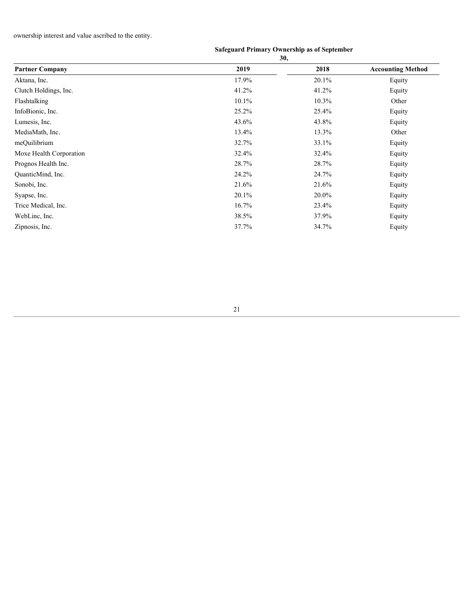ownership interest and value ascribed to the entity.

# **Safeguard Primary Ownership as of September**

|                         | 30,   |       |                          |
|-------------------------|-------|-------|--------------------------|
| <b>Partner Company</b>  | 2019  | 2018  | <b>Accounting Method</b> |
| Aktana, Inc.            | 17.9% | 20.1% | Equity                   |
| Clutch Holdings, Inc.   | 41.2% | 41.2% | Equity                   |
| Flashtalking            | 10.1% | 10.3% | Other                    |
| InfoBionic, Inc.        | 25.2% | 25.4% | Equity                   |
| Lumesis, Inc.           | 43.6% | 43.8% | Equity                   |
| MediaMath, Inc.         | 13.4% | 13.3% | Other                    |
| meQuilibrium            | 32.7% | 33.1% | Equity                   |
| Moxe Health Corporation | 32.4% | 32.4% | Equity                   |
| Prognos Health Inc.     | 28.7% | 28.7% | Equity                   |
| QuanticMind, Inc.       | 24.2% | 24.7% | Equity                   |
| Sonobi, Inc.            | 21.6% | 21.6% | Equity                   |
| Syapse, Inc.            | 20.1% | 20.0% | Equity                   |
| Trice Medical, Inc.     | 16.7% | 23.4% | Equity                   |
| WebLinc, Inc.           | 38.5% | 37.9% | Equity                   |
| Zipnosis, Inc.          | 37.7% | 34.7% | Equity                   |
|                         |       |       |                          |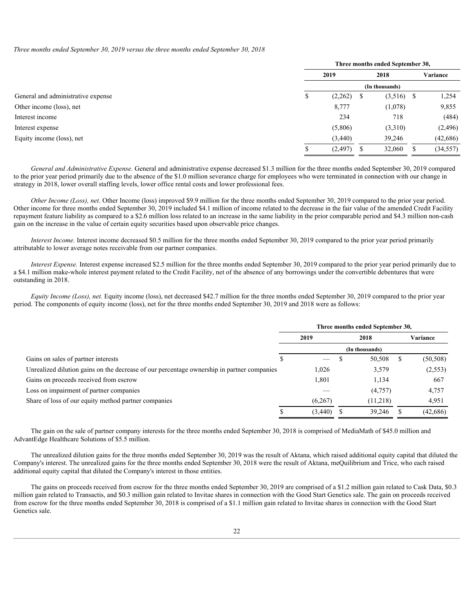*Three months ended September 30, 2019 versus the three months ended September 30, 2018*

|                                    |          | Three months ended September 30, |              |           |
|------------------------------------|----------|----------------------------------|--------------|-----------|
|                                    | 2019     | 2018                             |              | Variance  |
|                                    |          | (In thousands)                   |              |           |
| General and administrative expense | (2,262)  | Ъ.                               | $(3,516)$ \$ | 1,254     |
| Other income (loss), net           | 8,777    |                                  | (1,078)      | 9,855     |
| Interest income                    | 234      |                                  | 718          | (484)     |
| Interest expense                   | (5,806)  |                                  | (3,310)      | (2, 496)  |
| Equity income (loss), net          | (3,440)  |                                  | 39,246       | (42, 686) |
|                                    | (2, 497) | - 25                             | 32,060       | (34, 557) |
|                                    |          |                                  |              |           |

*General and Administrative Expense.* General and administrative expense decreased \$1.3 million for the three months ended September 30, 2019 compared to the prior year period primarily due to the absence of the \$1.0 million severance charge for employees who were terminated in connection with our change in strategy in 2018, lower overall staffing levels, lower office rental costs and lower professional fees.

*Other Income (Loss), net*. Other Income (loss) improved \$9.9 million for the three months ended September 30, 2019 compared to the prior year period. Other income for three months ended September 30, 2019 included \$4.1 million of income related to the decrease in the fair value of the amended Credit Facility repayment feature liability as compared to a \$2.6 million loss related to an increase in the same liability in the prior comparable period and \$4.3 million non-cash gain on the increase in the value of certain equity securities based upon observable price changes.

*Interest Income.* Interest income decreased \$0.5 million for the three months ended September 30, 2019 compared to the prior year period primarily attributable to lower average notes receivable from our partner companies.

*Interest Expense.* Interest expense increased \$2.5 million for the three months ended September 30, 2019 compared to the prior year period primarily due to a \$4.1 million make-whole interest payment related to the Credit Facility, net of the absence of any borrowings under the convertible debentures that were outstanding in 2018.

*Equity Income (Loss), net.* Equity income (loss), net decreased \$42.7 million for the three months ended September 30, 2019 compared to the prior year period. The components of equity income (loss), net for the three months ended September 30, 2019 and 2018 were as follows:

|                                                                                            |  |                                 |  | Three months ended September 30, |  |           |  |      |  |          |  |
|--------------------------------------------------------------------------------------------|--|---------------------------------|--|----------------------------------|--|-----------|--|------|--|----------|--|
|                                                                                            |  | 2019                            |  |                                  |  |           |  | 2018 |  | Variance |  |
|                                                                                            |  |                                 |  | (In thousands)                   |  |           |  |      |  |          |  |
| Gains on sales of partner interests                                                        |  | $\overline{\phantom{m}}$        |  | 50,508                           |  | (50, 508) |  |      |  |          |  |
| Unrealized dilution gains on the decrease of our percentage ownership in partner companies |  | 1,026                           |  | 3,579                            |  | (2, 553)  |  |      |  |          |  |
| Gains on proceeds received from escrow                                                     |  | 1,801                           |  | 1,134                            |  | 667       |  |      |  |          |  |
| Loss on impairment of partner companies                                                    |  | $\hspace{0.1mm}-\hspace{0.1mm}$ |  | (4,757)                          |  | 4,757     |  |      |  |          |  |
| Share of loss of our equity method partner companies                                       |  | (6,267)                         |  | (11,218)                         |  | 4,951     |  |      |  |          |  |
|                                                                                            |  | $(3,440)$ \$                    |  | 39,246                           |  | (42,686)  |  |      |  |          |  |

The gain on the sale of partner company interests for the three months ended September 30, 2018 is comprised of MediaMath of \$45.0 million and AdvantEdge Healthcare Solutions of \$5.5 million.

The unrealized dilution gains for the three months ended September 30, 2019 was the result of Aktana, which raised additional equity capital that diluted the Company's interest. The unrealized gains for the three months ended September 30, 2018 were the result of Aktana, meQuilibrium and Trice, who each raised additional equity capital that diluted the Company's interest in those entities.

The gains on proceeds received from escrow for the three months ended September 30, 2019 are comprised of a \$1.2 million gain related to Cask Data, \$0.3 million gain related to Transactis, and \$0.3 million gain related to Invitae shares in connection with the Good Start Genetics sale. The gain on proceeds received from escrow for the three months ended September 30, 2018 is comprised of a \$1.1 million gain related to Invitae shares in connection with the Good Start Genetics sale.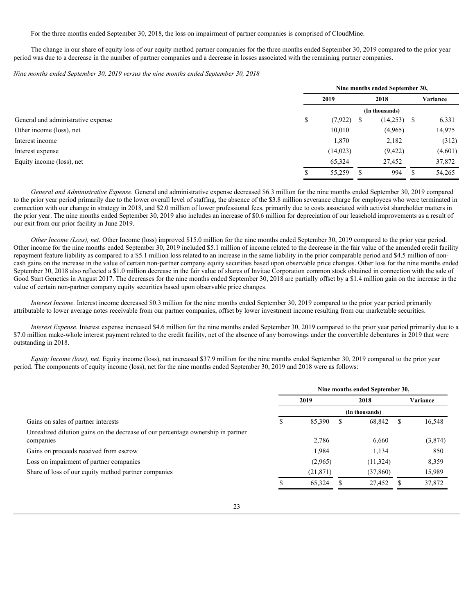For the three months ended September 30, 2018, the loss on impairment of partner companies is comprised of CloudMine.

The change in our share of equity loss of our equity method partner companies for the three months ended September 30, 2019 compared to the prior year period was due to a decrease in the number of partner companies and a decrease in losses associated with the remaining partner companies.

*Nine months ended September 30, 2019 versus the nine months ended September 30, 2018*

|                                    |           |      | Nine months ended September 30, |          |  |  |
|------------------------------------|-----------|------|---------------------------------|----------|--|--|
|                                    | 2019      |      | 2018                            | Variance |  |  |
|                                    |           |      | (In thousands)                  |          |  |  |
| General and administrative expense | (7, 922)  | - 55 | $(14,253)$ \$                   | 6,331    |  |  |
| Other income (loss), net           | 10,010    |      | (4,965)                         | 14,975   |  |  |
| Interest income                    | 1,870     |      | 2,182                           | (312)    |  |  |
| Interest expense                   | (14, 023) |      | (9, 422)                        | (4,601)  |  |  |
| Equity income (loss), net          | 65,324    |      | 27,452                          | 37,872   |  |  |
|                                    | 55,259    |      | 994                             | 54,265   |  |  |

*General and Administrative Expense.* General and administrative expense decreased \$6.3 million for the nine months ended September 30, 2019 compared to the prior year period primarily due to the lower overall level of staffing, the absence of the \$3.8 million severance charge for employees who were terminated in connection with our change in strategy in 2018, and \$2.0 million of lower professional fees, primarily due to costs associated with activist shareholder matters in the prior year. The nine months ended September 30, 2019 also includes an increase of \$0.6 million for depreciation of our leasehold improvements as a result of our exit from our prior facility in June 2019.

*Other Income (Loss), net*. Other Income (loss) improved \$15.0 million for the nine months ended September 30, 2019 compared to the prior year period. Other income for the nine months ended September 30, 2019 included \$5.1 million of income related to the decrease in the fair value of the amended credit facility repayment feature liability as compared to a \$5.1 million loss related to an increase in the same liability in the prior comparable period and \$4.5 million of noncash gains on the increase in the value of certain non-partner company equity securities based upon observable price changes. Other loss for the nine months ended September 30, 2018 also reflected a \$1.0 million decrease in the fair value of shares of Invitae Corporation common stock obtained in connection with the sale of Good Start Genetics in August 2017. The decreases for the nine months ended September 30, 2018 are partially offset by a \$1.4 million gain on the increase in the value of certain non-partner company equity securities based upon observable price changes.

*Interest Income.* Interest income decreased \$0.3 million for the nine months ended September 30, 2019 compared to the prior year period primarily attributable to lower average notes receivable from our partner companies, offset by lower investment income resulting from our marketable securities.

*Interest Expense.* Interest expense increased \$4.6 million for the nine months ended September 30, 2019 compared to the prior year period primarily due to a \$7.0 million make-whole interest payment related to the credit facility, net of the absence of any borrowings under the convertible debentures in 2019 that were outstanding in 2018.

*Equity Income (loss), net.* Equity income (loss), net increased \$37.9 million for the nine months ended September 30, 2019 compared to the prior year period. The components of equity income (loss), net for the nine months ended September 30, 2019 and 2018 were as follows:

|                                                                                               |           |   | Nine months ended September 30, |          |
|-----------------------------------------------------------------------------------------------|-----------|---|---------------------------------|----------|
|                                                                                               | 2019      |   | 2018                            | Variance |
|                                                                                               |           |   | (In thousands)                  |          |
| Gains on sales of partner interests                                                           | 85,390    | ъ | 68,842                          | 16,548   |
| Unrealized dilution gains on the decrease of our percentage ownership in partner<br>companies | 2,786     |   | 6,660                           | (3,874)  |
| Gains on proceeds received from escrow                                                        | 1,984     |   | 1,134                           | 850      |
| Loss on impairment of partner companies                                                       | (2,965)   |   | (11, 324)                       | 8,359    |
| Share of loss of our equity method partner companies                                          | (21, 871) |   | (37, 860)                       | 15,989   |
|                                                                                               | 65,324    |   | 27,452                          | 37,872   |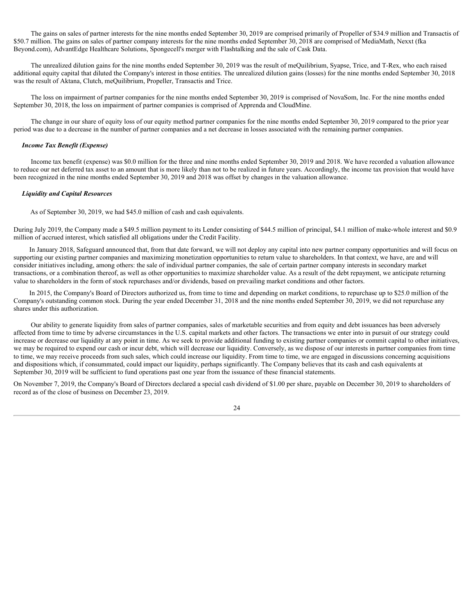The gains on sales of partner interests for the nine months ended September 30, 2019 are comprised primarily of Propeller of \$34.9 million and Transactis of \$50.7 million. The gains on sales of partner company interests for the nine months ended September 30, 2018 are comprised of MediaMath, Nexxt (fka Beyond.com), AdvantEdge Healthcare Solutions, Spongecell's merger with Flashtalking and the sale of Cask Data.

The unrealized dilution gains for the nine months ended September 30, 2019 was the result of meQuilibrium, Syapse, Trice, and T-Rex, who each raised additional equity capital that diluted the Company's interest in those entities. The unrealized dilution gains (losses) for the nine months ended September 30, 2018 was the result of Aktana, Clutch, meQuilibrium, Propeller, Transactis and Trice.

The loss on impairment of partner companies for the nine months ended September 30, 2019 is comprised of NovaSom, Inc. For the nine months ended September 30, 2018, the loss on impairment of partner companies is comprised of Apprenda and CloudMine.

The change in our share of equity loss of our equity method partner companies for the nine months ended September 30, 2019 compared to the prior year period was due to a decrease in the number of partner companies and a net decrease in losses associated with the remaining partner companies.

## *Income Tax Benefit (Expense)*

Income tax benefit (expense) was \$0.0 million for the three and nine months ended September 30, 2019 and 2018. We have recorded a valuation allowance to reduce our net deferred tax asset to an amount that is more likely than not to be realized in future years. Accordingly, the income tax provision that would have been recognized in the nine months ended September 30, 2019 and 2018 was offset by changes in the valuation allowance.

#### *Liquidity and Capital Resources*

As of September 30, 2019, we had \$45.0 million of cash and cash equivalents.

During July 2019, the Company made a \$49.5 million payment to its Lender consisting of \$44.5 million of principal, \$4.1 million of make-whole interest and \$0.9 million of accrued interest, which satisfied all obligations under the Credit Facility.

In January 2018, Safeguard announced that, from that date forward, we will not deploy any capital into new partner company opportunities and will focus on supporting our existing partner companies and maximizing monetization opportunities to return value to shareholders. In that context, we have, are and will consider initiatives including, among others: the sale of individual partner companies, the sale of certain partner company interests in secondary market transactions, or a combination thereof, as well as other opportunities to maximize shareholder value. As a result of the debt repayment, we anticipate returning value to shareholders in the form of stock repurchases and/or dividends, based on prevailing market conditions and other factors.

In 2015, the Company's Board of Directors authorized us, from time to time and depending on market conditions, to repurchase up to \$25.0 million of the Company's outstanding common stock. During the year ended December 31, 2018 and the nine months ended September 30, 2019, we did not repurchase any shares under this authorization.

Our ability to generate liquidity from sales of partner companies, sales of marketable securities and from equity and debt issuances has been adversely affected from time to time by adverse circumstances in the U.S. capital markets and other factors. The transactions we enter into in pursuit of our strategy could increase or decrease our liquidity at any point in time. As we seek to provide additional funding to existing partner companies or commit capital to other initiatives, we may be required to expend our cash or incur debt, which will decrease our liquidity. Conversely, as we dispose of our interests in partner companies from time to time, we may receive proceeds from such sales, which could increase our liquidity. From time to time, we are engaged in discussions concerning acquisitions and dispositions which, if consummated, could impact our liquidity, perhaps significantly. The Company believes that its cash and cash equivalents at September 30, 2019 will be sufficient to fund operations past one year from the issuance of these financial statements.

On November 7, 2019, the Company's Board of Directors declared a special cash dividend of \$1.00 per share, payable on December 30, 2019 to shareholders of record as of the close of business on December 23, 2019.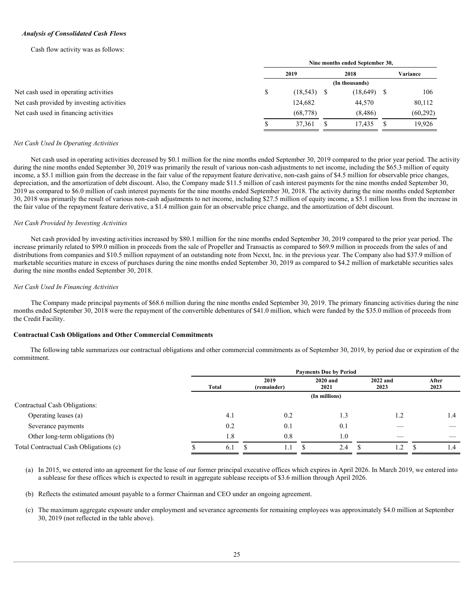## *Analysis of Consolidated Cash Flows*

Cash flow activity was as follows:

| 2019      | 2018          |                | Variance                                         |
|-----------|---------------|----------------|--------------------------------------------------|
|           |               |                |                                                  |
|           |               |                | 106                                              |
| 124,682   | 44,570        |                | 80,112                                           |
| (68, 778) | (8, 486)      |                | (60, 292)                                        |
| 37,361    | 17,435        |                | 19,926                                           |
|           | $(18,543)$ \$ | (In thousands) | Nine months ended September 30,<br>$(18,649)$ \$ |

## *Net Cash Used In Operating Activities*

Net cash used in operating activities decreased by \$0.1 million for the nine months ended September 30, 2019 compared to the prior year period. The activity during the nine months ended September 30, 2019 was primarily the result of various non-cash adjustments to net income, including the \$65.3 million of equity income, a \$5.1 million gain from the decrease in the fair value of the repayment feature derivative, non-cash gains of \$4.5 million for observable price changes, depreciation, and the amortization of debt discount. Also, the Company made \$11.5 million of cash interest payments for the nine months ended September 30, 2019 as compared to \$6.0 million of cash interest payments for the nine months ended September 30, 2018. The activity during the nine months ended September 30, 2018 was primarily the result of various non-cash adjustments to net income, including \$27.5 million of equity income, a \$5.1 million loss from the increase in the fair value of the repayment feature derivative, a \$1.4 million gain for an observable price change, and the amortization of debt discount.

#### *Net Cash Provided by Investing Activities*

Net cash provided by investing activities increased by \$80.1 million for the nine months ended September 30, 2019 compared to the prior year period. The increase primarily related to \$99.0 million in proceeds from the sale of Propeller and Transactis as compared to \$69.9 million in proceeds from the sales of and distributions from companies and \$10.5 million repayment of an outstanding note from Nexxt, Inc. in the previous year. The Company also had \$37.9 million of marketable securities mature in excess of purchases during the nine months ended September 30, 2019 as compared to \$4.2 million of marketable securities sales during the nine months ended September 30, 2018.

#### *Net Cash Used In Financing Activities*

The Company made principal payments of \$68.6 million during the nine months ended September 30, 2019. The primary financing activities during the nine months ended September 30, 2018 were the repayment of the convertible debentures of \$41.0 million, which were funded by the \$35.0 million of proceeds from the Credit Facility.

## **Contractual Cash Obligations and Other Commercial Commitments**

The following table summarizes our contractual obligations and other commercial commitments as of September 30, 2019, by period due or expiration of the commitment.

|                                        | <b>Payments Due by Period</b> |         |                                             |                                 |                                 |  |  |  |  |  |  |
|----------------------------------------|-------------------------------|---------|---------------------------------------------|---------------------------------|---------------------------------|--|--|--|--|--|--|
|                                        | 2019<br>Total<br>(remainder)  |         | 2022 and<br><b>2020 and</b><br>2021<br>2023 |                                 | After<br>2023                   |  |  |  |  |  |  |
|                                        |                               |         | (In millions)                               |                                 |                                 |  |  |  |  |  |  |
| Contractual Cash Obligations:          |                               |         |                                             |                                 |                                 |  |  |  |  |  |  |
| Operating leases (a)                   | 4.1                           | 0.2     | 1.3                                         | 1.2                             | 1.4                             |  |  |  |  |  |  |
| Severance payments                     | 0.2                           | $0.1\,$ | 0.1                                         | $\hspace{0.1mm}-\hspace{0.1mm}$ | $\hspace{0.1mm}-\hspace{0.1mm}$ |  |  |  |  |  |  |
| Other long-term obligations (b)        | -8                            | $0.8\,$ | $1.0\,$                                     | $\overbrace{\phantom{aaaaa}}$   | $\overbrace{\hspace{25mm}}^{}$  |  |  |  |  |  |  |
| Total Contractual Cash Obligations (c) |                               |         | 2.4                                         | $\overline{2}$                  |                                 |  |  |  |  |  |  |
|                                        |                               |         |                                             |                                 |                                 |  |  |  |  |  |  |

(a) In 2015, we entered into an agreement for the lease of our former principal executive offices which expires in April 2026. In March 2019, we entered into a sublease for these offices which is expected to result in aggregate sublease receipts of \$3.6 million through April 2026.

(b) Reflects the estimated amount payable to a former Chairman and CEO under an ongoing agreement.

(c) The maximum aggregate exposure under employment and severance agreements for remaining employees was approximately \$4.0 million at September 30, 2019 (not reflected in the table above).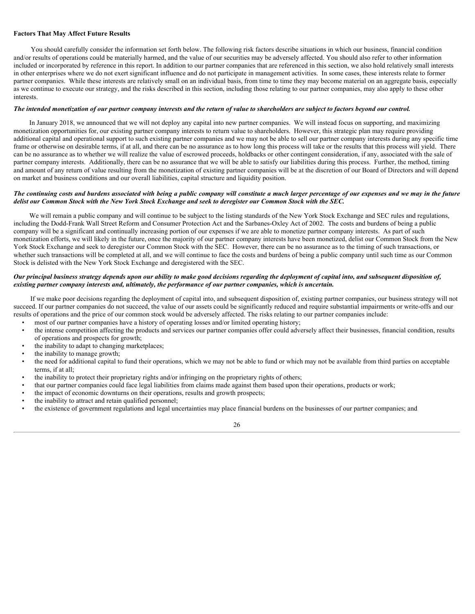## **Factors That May Affect Future Results**

You should carefully consider the information set forth below. The following risk factors describe situations in which our business, financial condition and/or results of operations could be materially harmed, and the value of our securities may be adversely affected. You should also refer to other information included or incorporated by reference in this report. In addition to our partner companies that are referenced in this section, we also hold relatively small interests in other enterprises where we do not exert significant influence and do not participate in management activities. In some cases, these interests relate to former partner companies. While these interests are relatively small on an individual basis, from time to time they may become material on an aggregate basis, especially as we continue to execute our strategy, and the risks described in this section, including those relating to our partner companies, may also apply to these other interests.

#### *The intended monetization of our partner company interests and the return of value to shareholders are subject to factors beyond our control.*

In January 2018, we announced that we will not deploy any capital into new partner companies. We will instead focus on supporting, and maximizing monetization opportunities for, our existing partner company interests to return value to shareholders. However, this strategic plan may require providing additional capital and operational support to such existing partner companies and we may not be able to sell our partner company interests during any specific time frame or otherwise on desirable terms, if at all, and there can be no assurance as to how long this process will take or the results that this process will yield. There can be no assurance as to whether we will realize the value of escrowed proceeds, holdbacks or other contingent consideration, if any, associated with the sale of partner company interests. Additionally, there can be no assurance that we will be able to satisfy our liabilities during this process. Further, the method, timing and amount of any return of value resulting from the monetization of existing partner companies will be at the discretion of our Board of Directors and will depend on market and business conditions and our overall liabilities, capital structure and liquidity position.

#### *The continuing costs and burdens associated with being a public company will constitute a much larger percentage of our expenses and we may in the future delist our Common Stock with the New York Stock Exchange and seek to deregister our Common Stock with the SEC.*

We will remain a public company and will continue to be subject to the listing standards of the New York Stock Exchange and SEC rules and regulations, including the Dodd-Frank Wall Street Reform and Consumer Protection Act and the Sarbanes-Oxley Act of 2002. The costs and burdens of being a public company will be a significant and continually increasing portion of our expenses if we are able to monetize partner company interests. As part of such monetization efforts, we will likely in the future, once the majority of our partner company interests have been monetized, delist our Common Stock from the New York Stock Exchange and seek to deregister our Common Stock with the SEC. However, there can be no assurance as to the timing of such transactions, or whether such transactions will be completed at all, and we will continue to face the costs and burdens of being a public company until such time as our Common Stock is delisted with the New York Stock Exchange and deregistered with the SEC.

## *Our principal business strategy depends upon our ability to make good decisions regarding the deployment of capital into, and subsequent disposition of, existing partner company interests and, ultimately, the performance of our partner companies, which is uncertain.*

If we make poor decisions regarding the deployment of capital into, and subsequent disposition of, existing partner companies, our business strategy will not succeed. If our partner companies do not succeed, the value of our assets could be significantly reduced and require substantial impairments or write-offs and our results of operations and the price of our common stock would be adversely affected. The risks relating to our partner companies include:

- most of our partner companies have a history of operating losses and/or limited operating history;
- the intense competition affecting the products and services our partner companies offer could adversely affect their businesses, financial condition, results of operations and prospects for growth;
- the inability to adapt to changing marketplaces;
- the inability to manage growth;
- the need for additional capital to fund their operations, which we may not be able to fund or which may not be available from third parties on acceptable terms, if at all;
- the inability to protect their proprietary rights and/or infringing on the proprietary rights of others;
- that our partner companies could face legal liabilities from claims made against them based upon their operations, products or work;
- the impact of economic downturns on their operations, results and growth prospects;
- the inability to attract and retain qualified personnel;
- the existence of government regulations and legal uncertainties may place financial burdens on the businesses of our partner companies; and

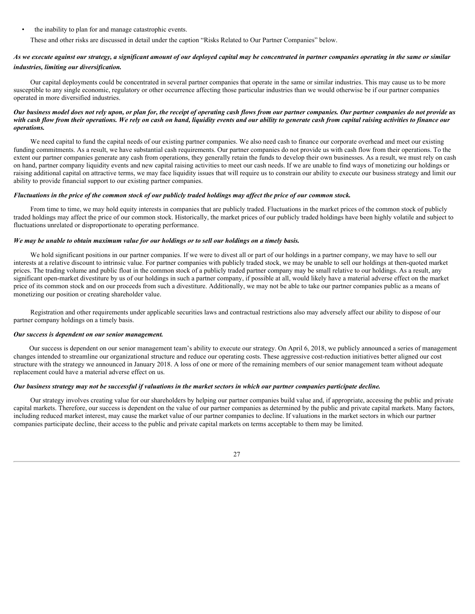• the inability to plan for and manage catastrophic events.

These and other risks are discussed in detail under the caption "Risks Related to Our Partner Companies" below.

## *As we execute against our strategy, a significant amount of our deployed capital may be concentrated in partner companies operating in the same or similar industries, limiting our diversification.*

Our capital deployments could be concentrated in several partner companies that operate in the same or similar industries. This may cause us to be more susceptible to any single economic, regulatory or other occurrence affecting those particular industries than we would otherwise be if our partner companies operated in more diversified industries.

## *Our business model does not rely upon, or plan for, the receipt of operating cash flows from our partner companies. Our partner companies do not provide us with cash flow from their operations. We rely on cash on hand, liquidity events and our ability to generate cash from capital raising activities to finance our operations.*

We need capital to fund the capital needs of our existing partner companies. We also need cash to finance our corporate overhead and meet our existing funding commitments. As a result, we have substantial cash requirements. Our partner companies do not provide us with cash flow from their operations. To the extent our partner companies generate any cash from operations, they generally retain the funds to develop their own businesses. As a result, we must rely on cash on hand, partner company liquidity events and new capital raising activities to meet our cash needs. If we are unable to find ways of monetizing our holdings or raising additional capital on attractive terms, we may face liquidity issues that will require us to constrain our ability to execute our business strategy and limit our ability to provide financial support to our existing partner companies.

## *Fluctuations in the price of the common stock of our publicly traded holdings may affect the price of our common stock.*

From time to time, we may hold equity interests in companies that are publicly traded. Fluctuations in the market prices of the common stock of publicly traded holdings may affect the price of our common stock. Historically, the market prices of our publicly traded holdings have been highly volatile and subject to fluctuations unrelated or disproportionate to operating performance.

#### *We may be unable to obtain maximum value for our holdings or to sell our holdings on a timely basis.*

We hold significant positions in our partner companies. If we were to divest all or part of our holdings in a partner company, we may have to sell our interests at a relative discount to intrinsic value. For partner companies with publicly traded stock, we may be unable to sell our holdings at then-quoted market prices. The trading volume and public float in the common stock of a publicly traded partner company may be small relative to our holdings. As a result, any significant open-market divestiture by us of our holdings in such a partner company, if possible at all, would likely have a material adverse effect on the market price of its common stock and on our proceeds from such a divestiture. Additionally, we may not be able to take our partner companies public as a means of monetizing our position or creating shareholder value.

Registration and other requirements under applicable securities laws and contractual restrictions also may adversely affect our ability to dispose of our partner company holdings on a timely basis.

#### *Our success is dependent on our senior management.*

Our success is dependent on our senior management team's ability to execute our strategy. On April 6, 2018, we publicly announced a series of management changes intended to streamline our organizational structure and reduce our operating costs. These aggressive cost-reduction initiatives better aligned our cost structure with the strategy we announced in January 2018. A loss of one or more of the remaining members of our senior management team without adequate replacement could have a material adverse effect on us.

#### *Our business strategy may not be successful if valuations in the market sectors in which our partner companies participate decline.*

Our strategy involves creating value for our shareholders by helping our partner companies build value and, if appropriate, accessing the public and private capital markets. Therefore, our success is dependent on the value of our partner companies as determined by the public and private capital markets. Many factors, including reduced market interest, may cause the market value of our partner companies to decline. If valuations in the market sectors in which our partner companies participate decline, their access to the public and private capital markets on terms acceptable to them may be limited.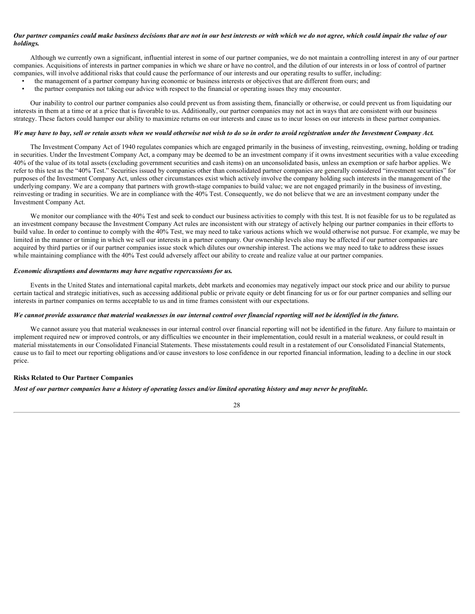## *Our partner companies could make business decisions that are not in our best interests or with which we do not agree, which could impair the value of our holdings.*

Although we currently own a significant, influential interest in some of our partner companies, we do not maintain a controlling interest in any of our partner companies. Acquisitions of interests in partner companies in which we share or have no control, and the dilution of our interests in or loss of control of partner companies, will involve additional risks that could cause the performance of our interests and our operating results to suffer, including:

- the management of a partner company having economic or business interests or objectives that are different from ours; and
- the partner companies not taking our advice with respect to the financial or operating issues they may encounter.

Our inability to control our partner companies also could prevent us from assisting them, financially or otherwise, or could prevent us from liquidating our interests in them at a time or at a price that is favorable to us. Additionally, our partner companies may not act in ways that are consistent with our business strategy. These factors could hamper our ability to maximize returns on our interests and cause us to incur losses on our interests in these partner companies.

## *We may have to buy, sell or retain assets when we would otherwise not wish to do so in order to avoid registration under the Investment Company Act.*

The Investment Company Act of 1940 regulates companies which are engaged primarily in the business of investing, reinvesting, owning, holding or trading in securities. Under the Investment Company Act, a company may be deemed to be an investment company if it owns investment securities with a value exceeding 40% of the value of its total assets (excluding government securities and cash items) on an unconsolidated basis, unless an exemption or safe harbor applies. We refer to this test as the "40% Test." Securities issued by companies other than consolidated partner companies are generally considered "investment securities" for purposes of the Investment Company Act, unless other circumstances exist which actively involve the company holding such interests in the management of the underlying company. We are a company that partners with growth-stage companies to build value; we are not engaged primarily in the business of investing, reinvesting or trading in securities. We are in compliance with the 40% Test. Consequently, we do not believe that we are an investment company under the Investment Company Act.

We monitor our compliance with the 40% Test and seek to conduct our business activities to comply with this test. It is not feasible for us to be regulated as an investment company because the Investment Company Act rules are inconsistent with our strategy of actively helping our partner companies in their efforts to build value. In order to continue to comply with the 40% Test, we may need to take various actions which we would otherwise not pursue. For example, we may be limited in the manner or timing in which we sell our interests in a partner company. Our ownership levels also may be affected if our partner companies are acquired by third parties or if our partner companies issue stock which dilutes our ownership interest. The actions we may need to take to address these issues while maintaining compliance with the 40% Test could adversely affect our ability to create and realize value at our partner companies.

#### *Economic disruptions and downturns may have negative repercussions for us.*

Events in the United States and international capital markets, debt markets and economies may negatively impact our stock price and our ability to pursue certain tactical and strategic initiatives, such as accessing additional public or private equity or debt financing for us or for our partner companies and selling our interests in partner companies on terms acceptable to us and in time frames consistent with our expectations.

## *We cannot provide assurance that material weaknesses in our internal control over financial reporting will not be identified in the future.*

We cannot assure you that material weaknesses in our internal control over financial reporting will not be identified in the future. Any failure to maintain or implement required new or improved controls, or any difficulties we encounter in their implementation, could result in a material weakness, or could result in material misstatements in our Consolidated Financial Statements. These misstatements could result in a restatement of our Consolidated Financial Statements, cause us to fail to meet our reporting obligations and/or cause investors to lose confidence in our reported financial information, leading to a decline in our stock price.

## **Risks Related to Our Partner Companies**

## *Most of our partner companies have a history of operating losses and/or limited operating history and may never be profitable.*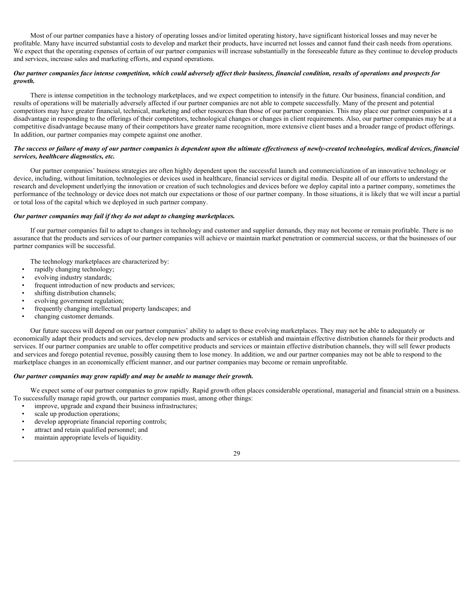Most of our partner companies have a history of operating losses and/or limited operating history, have significant historical losses and may never be profitable. Many have incurred substantial costs to develop and market their products, have incurred net losses and cannot fund their cash needs from operations. We expect that the operating expenses of certain of our partner companies will increase substantially in the foreseeable future as they continue to develop products and services, increase sales and marketing efforts, and expand operations.

## *Our partner companies face intense competition, which could adversely affect their business, financial condition, results of operations and prospects for growth.*

There is intense competition in the technology marketplaces, and we expect competition to intensify in the future. Our business, financial condition, and results of operations will be materially adversely affected if our partner companies are not able to compete successfully. Many of the present and potential competitors may have greater financial, technical, marketing and other resources than those of our partner companies. This may place our partner companies at a disadvantage in responding to the offerings of their competitors, technological changes or changes in client requirements. Also, our partner companies may be at a competitive disadvantage because many of their competitors have greater name recognition, more extensive client bases and a broader range of product offerings. In addition, our partner companies may compete against one another.

## *The success or failure of many of our partner companies is dependent upon the ultimate effectiveness of newly-created technologies, medical devices, financial services, healthcare diagnostics, etc.*

Our partner companies' business strategies are often highly dependent upon the successful launch and commercialization of an innovative technology or device, including, without limitation, technologies or devices used in healthcare, financial services or digital media. Despite all of our efforts to understand the research and development underlying the innovation or creation of such technologies and devices before we deploy capital into a partner company, sometimes the performance of the technology or device does not match our expectations or those of our partner company. In those situations, it is likely that we will incur a partial or total loss of the capital which we deployed in such partner company.

#### *Our partner companies may fail if they do not adapt to changing marketplaces.*

If our partner companies fail to adapt to changes in technology and customer and supplier demands, they may not become or remain profitable. There is no assurance that the products and services of our partner companies will achieve or maintain market penetration or commercial success, or that the businesses of our partner companies will be successful.

The technology marketplaces are characterized by:

- rapidly changing technology;
- evolving industry standards;
- frequent introduction of new products and services;
- shifting distribution channels;
- evolving government regulation;
- frequently changing intellectual property landscapes; and
- changing customer demands.

Our future success will depend on our partner companies' ability to adapt to these evolving marketplaces. They may not be able to adequately or economically adapt their products and services, develop new products and services or establish and maintain effective distribution channels for their products and services. If our partner companies are unable to offer competitive products and services or maintain effective distribution channels, they will sell fewer products and services and forego potential revenue, possibly causing them to lose money. In addition, we and our partner companies may not be able to respond to the marketplace changes in an economically efficient manner, and our partner companies may become or remain unprofitable.

#### *Our partner companies may grow rapidly and may be unable to manage their growth.*

We expect some of our partner companies to grow rapidly. Rapid growth often places considerable operational, managerial and financial strain on a business. To successfully manage rapid growth, our partner companies must, among other things:

- improve, upgrade and expand their business infrastructures;
- scale up production operations;
- develop appropriate financial reporting controls;
- attract and retain qualified personnel; and
- maintain appropriate levels of liquidity.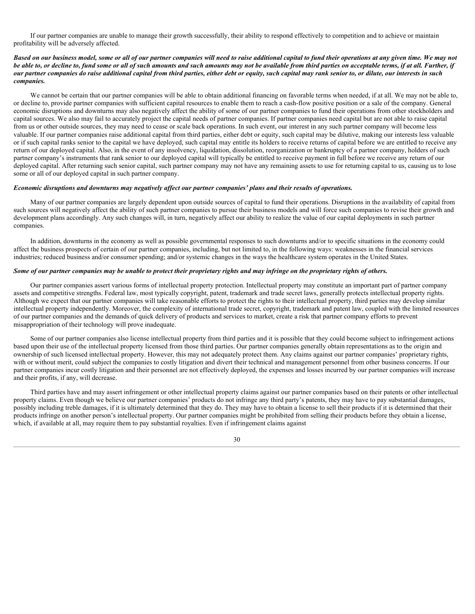If our partner companies are unable to manage their growth successfully, their ability to respond effectively to competition and to achieve or maintain profitability will be adversely affected.

## *Based on our business model, some or all of our partner companies will need to raise additional capital to fund their operations at any given time. We may not be able to, or decline to, fund some or all of such amounts and such amounts may not be available from third parties on acceptable terms, if at all. Further, if our partner companies do raise additional capital from third parties, either debt or equity, such capital may rank senior to, or dilute, our interests in such companies.*

We cannot be certain that our partner companies will be able to obtain additional financing on favorable terms when needed, if at all. We may not be able to, or decline to, provide partner companies with sufficient capital resources to enable them to reach a cash-flow positive position or a sale of the company. General economic disruptions and downturns may also negatively affect the ability of some of our partner companies to fund their operations from other stockholders and capital sources. We also may fail to accurately project the capital needs of partner companies. If partner companies need capital but are not able to raise capital from us or other outside sources, they may need to cease or scale back operations. In such event, our interest in any such partner company will become less valuable. If our partner companies raise additional capital from third parties, either debt or equity, such capital may be dilutive, making our interests less valuable or if such capital ranks senior to the capital we have deployed, such capital may entitle its holders to receive returns of capital before we are entitled to receive any return of our deployed capital. Also, in the event of any insolvency, liquidation, dissolution, reorganization or bankruptcy of a partner company, holders of such partner company's instruments that rank senior to our deployed capital will typically be entitled to receive payment in full before we receive any return of our deployed capital. After returning such senior capital, such partner company may not have any remaining assets to use for returning capital to us, causing us to lose some or all of our deployed capital in such partner company.

#### *Economic disruptions and downturns may negatively affect our partner companies' plans and their results of operations.*

Many of our partner companies are largely dependent upon outside sources of capital to fund their operations. Disruptions in the availability of capital from such sources will negatively affect the ability of such partner companies to pursue their business models and will force such companies to revise their growth and development plans accordingly. Any such changes will, in turn, negatively affect our ability to realize the value of our capital deployments in such partner companies.

In addition, downturns in the economy as well as possible governmental responses to such downturns and/or to specific situations in the economy could affect the business prospects of certain of our partner companies, including, but not limited to, in the following ways: weaknesses in the financial services industries; reduced business and/or consumer spending; and/or systemic changes in the ways the healthcare system operates in the United States.

## *Some of our partner companies may be unable to protect their proprietary rights and may infringe on the proprietary rights of others.*

Our partner companies assert various forms of intellectual property protection. Intellectual property may constitute an important part of partner company assets and competitive strengths. Federal law, most typically copyright, patent, trademark and trade secret laws, generally protects intellectual property rights. Although we expect that our partner companies will take reasonable efforts to protect the rights to their intellectual property, third parties may develop similar intellectual property independently. Moreover, the complexity of international trade secret, copyright, trademark and patent law, coupled with the limited resources of our partner companies and the demands of quick delivery of products and services to market, create a risk that partner company efforts to prevent misappropriation of their technology will prove inadequate.

Some of our partner companies also license intellectual property from third parties and it is possible that they could become subject to infringement actions based upon their use of the intellectual property licensed from those third parties. Our partner companies generally obtain representations as to the origin and ownership of such licensed intellectual property. However, this may not adequately protect them. Any claims against our partner companies' proprietary rights, with or without merit, could subject the companies to costly litigation and divert their technical and management personnel from other business concerns. If our partner companies incur costly litigation and their personnel are not effectively deployed, the expenses and losses incurred by our partner companies will increase and their profits, if any, will decrease.

Third parties have and may assert infringement or other intellectual property claims against our partner companies based on their patents or other intellectual property claims. Even though we believe our partner companies' products do not infringe any third party's patents, they may have to pay substantial damages, possibly including treble damages, if it is ultimately determined that they do. They may have to obtain a license to sell their products if it is determined that their products infringe on another person's intellectual property. Our partner companies might be prohibited from selling their products before they obtain a license, which, if available at all, may require them to pay substantial royalties. Even if infringement claims against

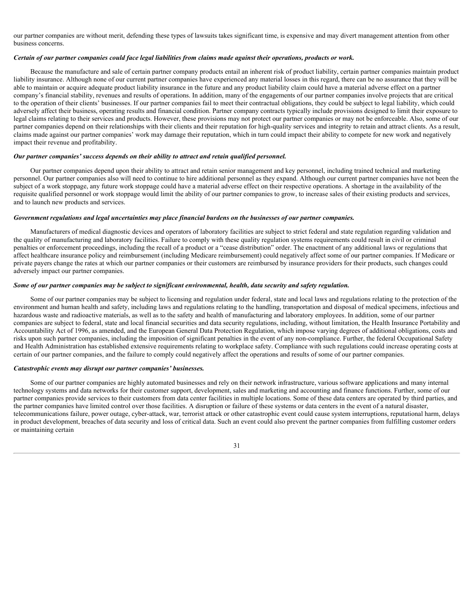our partner companies are without merit, defending these types of lawsuits takes significant time, is expensive and may divert management attention from other business concerns.

## *Certain of our partner companies could face legal liabilities from claims made against their operations, products or work.*

Because the manufacture and sale of certain partner company products entail an inherent risk of product liability, certain partner companies maintain product liability insurance. Although none of our current partner companies have experienced any material losses in this regard, there can be no assurance that they will be able to maintain or acquire adequate product liability insurance in the future and any product liability claim could have a material adverse effect on a partner company's financial stability, revenues and results of operations. In addition, many of the engagements of our partner companies involve projects that are critical to the operation of their clients' businesses. If our partner companies fail to meet their contractual obligations, they could be subject to legal liability, which could adversely affect their business, operating results and financial condition. Partner company contracts typically include provisions designed to limit their exposure to legal claims relating to their services and products. However, these provisions may not protect our partner companies or may not be enforceable. Also, some of our partner companies depend on their relationships with their clients and their reputation for high-quality services and integrity to retain and attract clients. As a result, claims made against our partner companies' work may damage their reputation, which in turn could impact their ability to compete for new work and negatively impact their revenue and profitability.

#### *Our partner companies' success depends on their ability to attract and retain qualified personnel.*

Our partner companies depend upon their ability to attract and retain senior management and key personnel, including trained technical and marketing personnel. Our partner companies also will need to continue to hire additional personnel as they expand. Although our current partner companies have not been the subject of a work stoppage, any future work stoppage could have a material adverse effect on their respective operations. A shortage in the availability of the requisite qualified personnel or work stoppage would limit the ability of our partner companies to grow, to increase sales of their existing products and services, and to launch new products and services.

## *Government regulations and legal uncertainties may place financial burdens on the businesses of our partner companies.*

Manufacturers of medical diagnostic devices and operators of laboratory facilities are subject to strict federal and state regulation regarding validation and the quality of manufacturing and laboratory facilities. Failure to comply with these quality regulation systems requirements could result in civil or criminal penalties or enforcement proceedings, including the recall of a product or a "cease distribution" order. The enactment of any additional laws or regulations that affect healthcare insurance policy and reimbursement (including Medicare reimbursement) could negatively affect some of our partner companies. If Medicare or private payers change the rates at which our partner companies or their customers are reimbursed by insurance providers for their products, such changes could adversely impact our partner companies.

## *Some of our partner companies may be subject to significant environmental, health, data security and safety regulation.*

Some of our partner companies may be subject to licensing and regulation under federal, state and local laws and regulations relating to the protection of the environment and human health and safety, including laws and regulations relating to the handling, transportation and disposal of medical specimens, infectious and hazardous waste and radioactive materials, as well as to the safety and health of manufacturing and laboratory employees. In addition, some of our partner companies are subject to federal, state and local financial securities and data security regulations, including, without limitation, the Health Insurance Portability and Accountability Act of 1996, as amended, and the European General Data Protection Regulation, which impose varying degrees of additional obligations, costs and risks upon such partner companies, including the imposition of significant penalties in the event of any non-compliance. Further, the federal Occupational Safety and Health Administration has established extensive requirements relating to workplace safety. Compliance with such regulations could increase operating costs at certain of our partner companies, and the failure to comply could negatively affect the operations and results of some of our partner companies.

#### *Catastrophic events may disrupt our partner companies' businesses.*

Some of our partner companies are highly automated businesses and rely on their network infrastructure, various software applications and many internal technology systems and data networks for their customer support, development, sales and marketing and accounting and finance functions. Further, some of our partner companies provide services to their customers from data center facilities in multiple locations. Some of these data centers are operated by third parties, and the partner companies have limited control over those facilities. A disruption or failure of these systems or data centers in the event of a natural disaster, telecommunications failure, power outage, cyber-attack, war, terrorist attack or other catastrophic event could cause system interruptions, reputational harm, delays in product development, breaches of data security and loss of critical data. Such an event could also prevent the partner companies from fulfilling customer orders or maintaining certain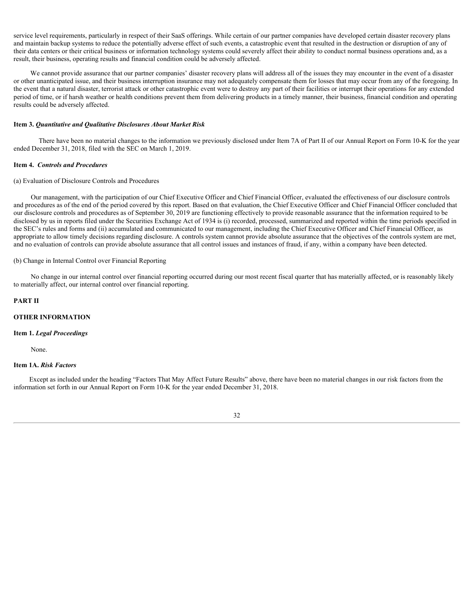service level requirements, particularly in respect of their SaaS offerings. While certain of our partner companies have developed certain disaster recovery plans and maintain backup systems to reduce the potentially adverse effect of such events, a catastrophic event that resulted in the destruction or disruption of any of their data centers or their critical business or information technology systems could severely affect their ability to conduct normal business operations and, as a result, their business, operating results and financial condition could be adversely affected.

We cannot provide assurance that our partner companies' disaster recovery plans will address all of the issues they may encounter in the event of a disaster or other unanticipated issue, and their business interruption insurance may not adequately compensate them for losses that may occur from any of the foregoing. In the event that a natural disaster, terrorist attack or other catastrophic event were to destroy any part of their facilities or interrupt their operations for any extended period of time, or if harsh weather or health conditions prevent them from delivering products in a timely manner, their business, financial condition and operating results could be adversely affected.

#### <span id="page-31-0"></span>**Item 3.** *Quantitative and Qualitative Disclosures About Market Risk*

There have been no material changes to the information we previously disclosed under Item 7A of Part II of our Annual Report on Form 10-K for the year ended December 31, 2018, filed with the SEC on March 1, 2019.

#### <span id="page-31-1"></span>**Item 4.** *Controls and Procedures*

#### (a) Evaluation of Disclosure Controls and Procedures

Our management, with the participation of our Chief Executive Officer and Chief Financial Officer, evaluated the effectiveness of our disclosure controls and procedures as of the end of the period covered by this report. Based on that evaluation, the Chief Executive Officer and Chief Financial Officer concluded that our disclosure controls and procedures as of September 30, 2019 are functioning effectively to provide reasonable assurance that the information required to be disclosed by us in reports filed under the Securities Exchange Act of 1934 is (i) recorded, processed, summarized and reported within the time periods specified in the SEC's rules and forms and (ii) accumulated and communicated to our management, including the Chief Executive Officer and Chief Financial Officer, as appropriate to allow timely decisions regarding disclosure. A controls system cannot provide absolute assurance that the objectives of the controls system are met, and no evaluation of controls can provide absolute assurance that all control issues and instances of fraud, if any, within a company have been detected.

## (b) Change in Internal Control over Financial Reporting

No change in our internal control over financial reporting occurred during our most recent fiscal quarter that has materially affected, or is reasonably likely to materially affect, our internal control over financial reporting.

#### <span id="page-31-2"></span>**PART II**

#### **OTHER INFORMATION**

#### **Item 1.** *Legal Proceedings*

None.

#### <span id="page-31-3"></span>**Item 1A.** *Risk Factors*

Except as included under the heading "Factors That May Affect Future Results" above, there have been no material changes in our risk factors from the information set forth in our Annual Report on Form 10-K for the year ended December 31, 2018.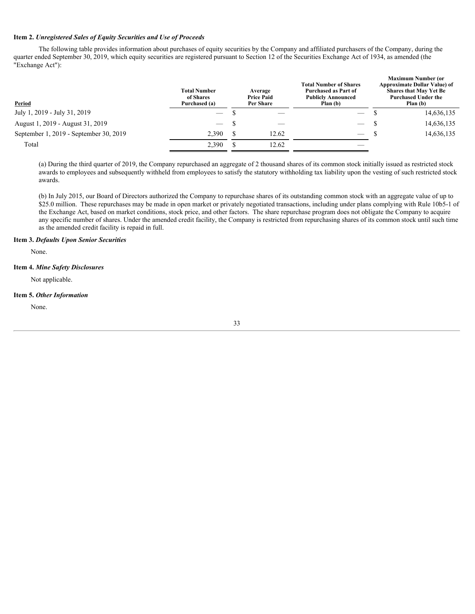## <span id="page-32-0"></span>**Item 2.** *Unregistered Sales of Equity Securities and Use of Proceeds*

The following table provides information about purchases of equity securities by the Company and affiliated purchasers of the Company, during the quarter ended September 30, 2019, which equity securities are registered pursuant to Section 12 of the Securities Exchange Act of 1934, as amended (the "Exchange Act"):

| <b>Period</b>                          | <b>Total Number</b><br>of Shares<br>Purchased (a) | Average<br><b>Price Paid</b><br>Per Share | <b>Total Number of Shares</b><br>Purchased as Part of<br><b>Publicly Announced</b><br>Plan (b) | махипин гупшрег (ог<br><b>Approximate Dollar Value) of</b><br><b>Shares that May Yet Be</b><br><b>Purchased Under the</b><br>Plan (b) |
|----------------------------------------|---------------------------------------------------|-------------------------------------------|------------------------------------------------------------------------------------------------|---------------------------------------------------------------------------------------------------------------------------------------|
| July 1, 2019 - July 31, 2019           | $\overline{\phantom{m}}$                          | $\overline{\phantom{m}}$                  | $\hspace{0.1mm}-\hspace{0.1mm}$                                                                | 14,636,135                                                                                                                            |
| August 1, 2019 - August 31, 2019       | $\overline{\phantom{a}}$                          | $\overline{\phantom{0}}$                  | $\hspace{0.1mm}-\hspace{0.1mm}$                                                                | 14,636,135                                                                                                                            |
| September 1, 2019 - September 30, 2019 | 2,390                                             | 12.62                                     | $\overline{\phantom{m}}$                                                                       | 14,636,135                                                                                                                            |
| Total                                  | 2,390                                             | 12.62                                     |                                                                                                |                                                                                                                                       |
|                                        |                                                   |                                           |                                                                                                |                                                                                                                                       |

(a) During the third quarter of 2019, the Company repurchased an aggregate of 2 thousand shares of its common stock initially issued as restricted stock awards to employees and subsequently withheld from employees to satisfy the statutory withholding tax liability upon the vesting of such restricted stock awards.

**Maximum Number (or**

(b) In July 2015, our Board of Directors authorized the Company to repurchase shares of its outstanding common stock with an aggregate value of up to \$25.0 million. These repurchases may be made in open market or privately negotiated transactions, including under plans complying with Rule 10b5-1 of the Exchange Act, based on market conditions, stock price, and other factors. The share repurchase program does not obligate the Company to acquire any specific number of shares. Under the amended credit facility, the Company is restricted from repurchasing shares of its common stock until such time as the amended credit facility is repaid in full.

## <span id="page-32-1"></span>**Item 3.** *Defaults Upon Senior Securities*

None.

## <span id="page-32-2"></span>**Item 4.** *Mine Safety Disclosures*

Not applicable.

## <span id="page-32-3"></span>**Item 5.** *Other Information*

None.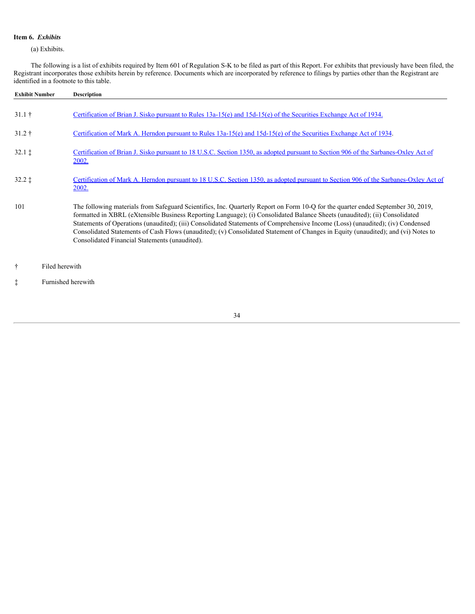## <span id="page-33-0"></span>**Item 6.** *Exhibits*

(a) Exhibits.

The following is a list of exhibits required by Item 601 of Regulation S-K to be filed as part of this Report. For exhibits that previously have been filed, the Registrant incorporates those exhibits herein by reference. Documents which are incorporated by reference to filings by parties other than the Registrant are identified in a footnote to this table.

| <b>Exhibit Number</b>   | <b>Description</b>                                                                                                                                                                                                                                                                                                                                                                                                                                                                                                                                                                      |
|-------------------------|-----------------------------------------------------------------------------------------------------------------------------------------------------------------------------------------------------------------------------------------------------------------------------------------------------------------------------------------------------------------------------------------------------------------------------------------------------------------------------------------------------------------------------------------------------------------------------------------|
| $31.1 \;{\rm t}$        | Certification of Brian J. Sisko pursuant to Rules $13a-15(e)$ and $15d-15(e)$ of the Securities Exchange Act of 1934.                                                                                                                                                                                                                                                                                                                                                                                                                                                                   |
| $31.2 \;{\rm \ddagger}$ | Certification of Mark A. Herndon pursuant to Rules $13a-15(e)$ and $15d-15(e)$ of the Securities Exchange Act of 1934.                                                                                                                                                                                                                                                                                                                                                                                                                                                                  |
| $32.1 \;$ ‡             | Certification of Brian J. Sisko pursuant to 18 U.S.C. Section 1350, as adopted pursuant to Section 906 of the Sarbanes-Oxley Act of<br><u>2002.</u>                                                                                                                                                                                                                                                                                                                                                                                                                                     |
| $32.2 \;$ ‡             | Certification of Mark A. Herndon pursuant to 18 U.S.C. Section 1350, as adopted pursuant to Section 906 of the Sarbanes-Oxley Act of<br>2002.                                                                                                                                                                                                                                                                                                                                                                                                                                           |
| 101                     | The following materials from Safeguard Scientifics, Inc. Quarterly Report on Form 10-Q for the quarter ended September 30, 2019,<br>formatted in XBRL (eXtensible Business Reporting Language); (i) Consolidated Balance Sheets (unaudited); (ii) Consolidated<br>Statements of Operations (unaudited); (iii) Consolidated Statements of Comprehensive Income (Loss) (unaudited); (iv) Condensed<br>Consolidated Statements of Cash Flows (unaudited); (v) Consolidated Statement of Changes in Equity (unaudited); and (vi) Notes to<br>Consolidated Financial Statements (unaudited). |
| Ť.                      | Filed herewith                                                                                                                                                                                                                                                                                                                                                                                                                                                                                                                                                                          |

‡ Furnished herewith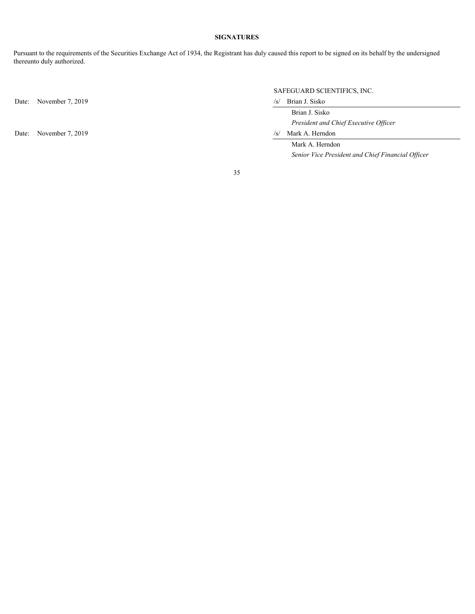## **SIGNATURES**

<span id="page-34-0"></span>Pursuant to the requirements of the Securities Exchange Act of 1934, the Registrant has duly caused this report to be signed on its behalf by the undersigned thereunto duly authorized.

Date: November 7, 2019 /s/ Brian J. Sisko

Date: November 7, 2019 /s/ Mark A. Herndon

## SAFEGUARD SCIENTIFICS, INC.

Brian J. Sisko

*President and Chief Executive Officer*

 Mark A. Herndon *Senior Vice President and Chief Financial Officer*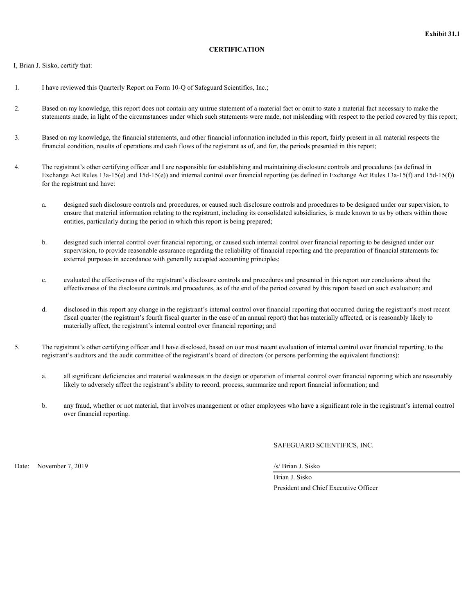## **CERTIFICATION**

<span id="page-35-0"></span>I, Brian J. Sisko, certify that:

- 1. I have reviewed this Quarterly Report on Form 10-Q of Safeguard Scientifics, Inc.;
- 2. Based on my knowledge, this report does not contain any untrue statement of a material fact or omit to state a material fact necessary to make the statements made, in light of the circumstances under which such statements were made, not misleading with respect to the period covered by this report;
- 3. Based on my knowledge, the financial statements, and other financial information included in this report, fairly present in all material respects the financial condition, results of operations and cash flows of the registrant as of, and for, the periods presented in this report;
- 4. The registrant's other certifying officer and I are responsible for establishing and maintaining disclosure controls and procedures (as defined in Exchange Act Rules  $13a-15(e)$  and  $15d-15(e)$ ) and internal control over financial reporting (as defined in Exchange Act Rules  $13a-15(f)$ ) and  $15d-15(f)$ ) for the registrant and have:
	- a. designed such disclosure controls and procedures, or caused such disclosure controls and procedures to be designed under our supervision, to ensure that material information relating to the registrant, including its consolidated subsidiaries, is made known to us by others within those entities, particularly during the period in which this report is being prepared;
	- b. designed such internal control over financial reporting, or caused such internal control over financial reporting to be designed under our supervision, to provide reasonable assurance regarding the reliability of financial reporting and the preparation of financial statements for external purposes in accordance with generally accepted accounting principles;
	- c. evaluated the effectiveness of the registrant's disclosure controls and procedures and presented in this report our conclusions about the effectiveness of the disclosure controls and procedures, as of the end of the period covered by this report based on such evaluation; and
	- d. disclosed in this report any change in the registrant's internal control over financial reporting that occurred during the registrant's most recent fiscal quarter (the registrant's fourth fiscal quarter in the case of an annual report) that has materially affected, or is reasonably likely to materially affect, the registrant's internal control over financial reporting; and
- 5. The registrant's other certifying officer and I have disclosed, based on our most recent evaluation of internal control over financial reporting, to the registrant's auditors and the audit committee of the registrant's board of directors (or persons performing the equivalent functions):
	- a. all significant deficiencies and material weaknesses in the design or operation of internal control over financial reporting which are reasonably likely to adversely affect the registrant's ability to record, process, summarize and report financial information; and
	- b. any fraud, whether or not material, that involves management or other employees who have a significant role in the registrant's internal control over financial reporting.

SAFEGUARD SCIENTIFICS, INC.

Date: November 7, 2019 */s/ Brian J. Sisko* 

 Brian J. Sisko President and Chief Executive Officer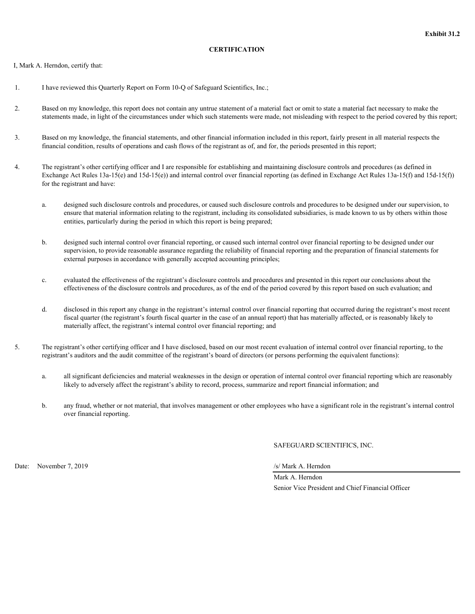## **CERTIFICATION**

<span id="page-36-0"></span>I, Mark A. Herndon, certify that:

- 1. I have reviewed this Quarterly Report on Form 10-Q of Safeguard Scientifics, Inc.;
- 2. Based on my knowledge, this report does not contain any untrue statement of a material fact or omit to state a material fact necessary to make the statements made, in light of the circumstances under which such statements were made, not misleading with respect to the period covered by this report;
- 3. Based on my knowledge, the financial statements, and other financial information included in this report, fairly present in all material respects the financial condition, results of operations and cash flows of the registrant as of, and for, the periods presented in this report;
- 4. The registrant's other certifying officer and I are responsible for establishing and maintaining disclosure controls and procedures (as defined in Exchange Act Rules  $13a-15(e)$  and  $15d-15(e)$ ) and internal control over financial reporting (as defined in Exchange Act Rules  $13a-15(f)$ ) and  $15d-15(f)$ ) for the registrant and have:
	- a. designed such disclosure controls and procedures, or caused such disclosure controls and procedures to be designed under our supervision, to ensure that material information relating to the registrant, including its consolidated subsidiaries, is made known to us by others within those entities, particularly during the period in which this report is being prepared;
	- b. designed such internal control over financial reporting, or caused such internal control over financial reporting to be designed under our supervision, to provide reasonable assurance regarding the reliability of financial reporting and the preparation of financial statements for external purposes in accordance with generally accepted accounting principles;
	- c. evaluated the effectiveness of the registrant's disclosure controls and procedures and presented in this report our conclusions about the effectiveness of the disclosure controls and procedures, as of the end of the period covered by this report based on such evaluation; and
	- d. disclosed in this report any change in the registrant's internal control over financial reporting that occurred during the registrant's most recent fiscal quarter (the registrant's fourth fiscal quarter in the case of an annual report) that has materially affected, or is reasonably likely to materially affect, the registrant's internal control over financial reporting; and
- 5. The registrant's other certifying officer and I have disclosed, based on our most recent evaluation of internal control over financial reporting, to the registrant's auditors and the audit committee of the registrant's board of directors (or persons performing the equivalent functions):
	- a. all significant deficiencies and material weaknesses in the design or operation of internal control over financial reporting which are reasonably likely to adversely affect the registrant's ability to record, process, summarize and report financial information; and
	- b. any fraud, whether or not material, that involves management or other employees who have a significant role in the registrant's internal control over financial reporting.

SAFEGUARD SCIENTIFICS, INC.

Date: November 7, 2019 */s/ Mark A. Herndon* 

Mark A. Herndon Senior Vice President and Chief Financial Officer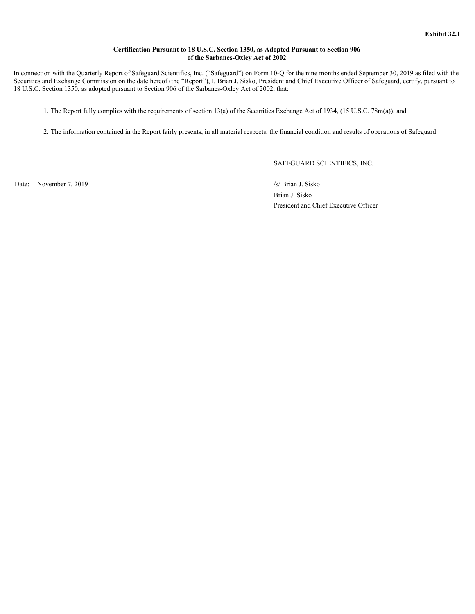## **Certification Pursuant to 18 U.S.C. Section 1350, as Adopted Pursuant to Section 906 of the Sarbanes-Oxley Act of 2002**

<span id="page-37-0"></span> In connection with the Quarterly Report of Safeguard Scientifics, Inc. ("Safeguard") on Form 10-Q for the nine months ended September 30, 2019 as filed with the Securities and Exchange Commission on the date hereof (the "Report"), I, Brian J. Sisko, President and Chief Executive Officer of Safeguard, certify, pursuant to 18 U.S.C. Section 1350, as adopted pursuant to Section 906 of the Sarbanes-Oxley Act of 2002, that:

1. The Report fully complies with the requirements of section 13(a) of the Securities Exchange Act of 1934, (15 U.S.C. 78m(a)); and

2. The information contained in the Report fairly presents, in all material respects, the financial condition and results of operations of Safeguard.

SAFEGUARD SCIENTIFICS, INC.

Date: November 7, 2019 */s/ Brian J. Sisko* 

 Brian J. Sisko President and Chief Executive Officer